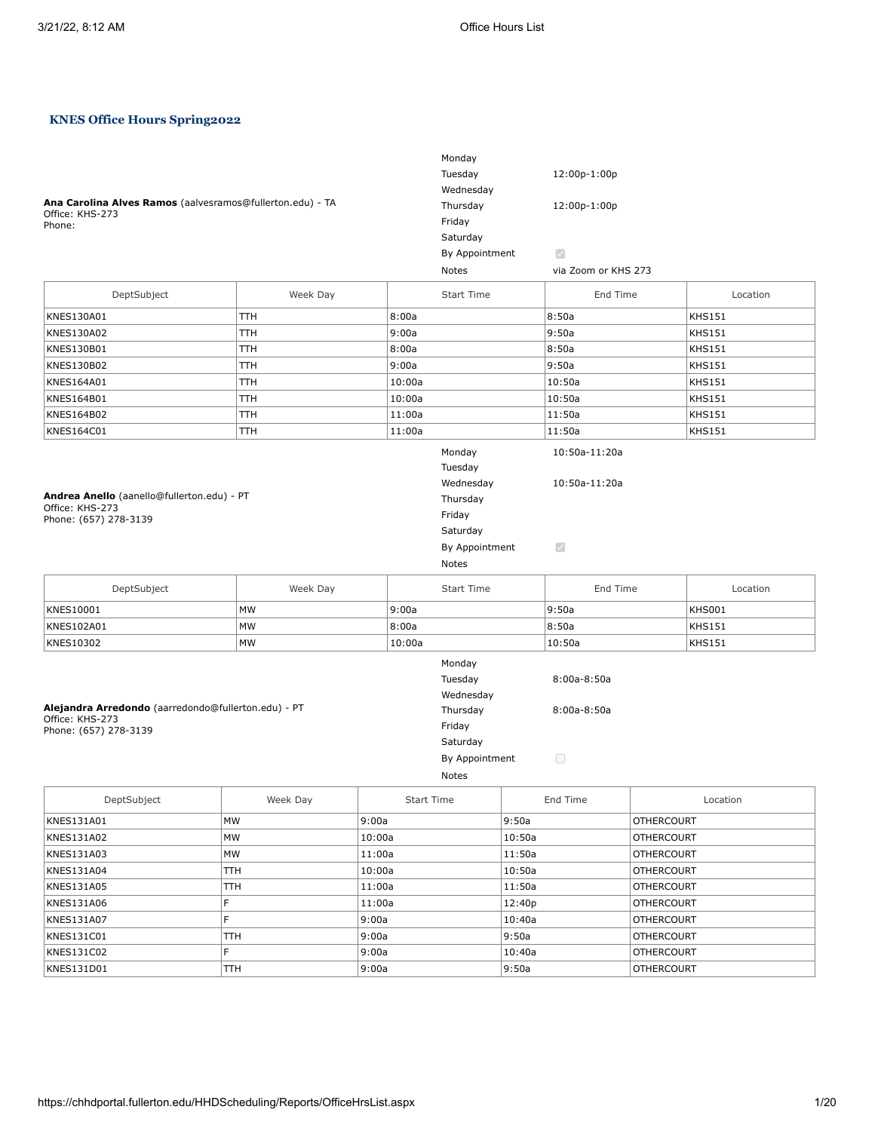# **KNES Office Hours Spring2022**

| Ana Carolina Alves Ramos (aalvesramos@fullerton.edu) - TA<br>Office: KHS-273<br>Phone:          |            |        |                   | Monday<br>Tuesday<br>Wednesday<br>Thursday                                                  |        | 12:00p-1:00p<br>12:00p-1:00p                 |                   |               |
|-------------------------------------------------------------------------------------------------|------------|--------|-------------------|---------------------------------------------------------------------------------------------|--------|----------------------------------------------|-------------------|---------------|
|                                                                                                 |            |        |                   | Friday                                                                                      |        |                                              |                   |               |
|                                                                                                 |            |        |                   | Saturday                                                                                    |        |                                              |                   |               |
|                                                                                                 |            |        |                   | By Appointment                                                                              |        | $\mathcal{A}$                                |                   |               |
|                                                                                                 |            |        |                   | Notes                                                                                       |        | via Zoom or KHS 273                          |                   |               |
|                                                                                                 |            |        |                   |                                                                                             |        |                                              |                   |               |
| DeptSubject                                                                                     | Week Day   |        |                   | <b>Start Time</b>                                                                           |        | End Time                                     |                   | Location      |
| KNES130A01                                                                                      | TТH        |        | 8:00a             |                                                                                             |        | 8:50a                                        |                   | <b>KHS151</b> |
| KNES130A02                                                                                      | TТH        |        | 9:00a             |                                                                                             |        | 9:50a                                        |                   | <b>KHS151</b> |
| KNES130B01                                                                                      | <b>TTH</b> |        | 8:00a             |                                                                                             |        | 8:50a                                        |                   | <b>KHS151</b> |
| KNES130B02                                                                                      | <b>TTH</b> |        | 9:00a             |                                                                                             |        | 9:50a                                        |                   | <b>KHS151</b> |
| KNES164A01                                                                                      | <b>TTH</b> |        | 10:00a            |                                                                                             |        | 10:50a                                       |                   | <b>KHS151</b> |
| KNES164B01                                                                                      | <b>TTH</b> |        | 10:00a            |                                                                                             |        | 10:50a                                       |                   | <b>KHS151</b> |
| KNES164B02                                                                                      | TTH        |        | 11:00a            |                                                                                             |        | 11:50a                                       |                   | <b>KHS151</b> |
| KNES164C01                                                                                      | <b>TTH</b> |        | 11:00a            |                                                                                             |        | 11:50a                                       |                   | <b>KHS151</b> |
| Andrea Anello (aanello@fullerton.edu) - PT<br>Office: KHS-273<br>Phone: (657) 278-3139          |            |        |                   | Monday<br>Tuesday<br>Wednesday<br>Thursday<br>Friday<br>Saturday<br>By Appointment<br>Notes |        | 10:50a-11:20a<br>10:50a-11:20a<br>$\bigcirc$ |                   |               |
| DeptSubject                                                                                     | Week Day   |        |                   | Start Time                                                                                  |        | End Time                                     |                   | Location      |
| KNES10001                                                                                       | <b>MW</b>  |        | 9:00a             |                                                                                             |        | 9:50a                                        |                   | <b>KHS001</b> |
| KNES102A01                                                                                      | <b>MW</b>  |        | 8:00a             |                                                                                             |        | 8:50a                                        |                   | <b>KHS151</b> |
| KNES10302                                                                                       | MW         |        | 10:00a            |                                                                                             |        | 10:50a                                       |                   | <b>KHS151</b> |
| Alejandra Arredondo (aarredondo@fullerton.edu) - PT<br>Office: KHS-273<br>Phone: (657) 278-3139 |            |        |                   | Monday<br>Tuesday<br>Wednesday<br>Thursday<br>Friday<br>Saturday<br>By Appointment<br>Notes |        | $8:00a-8:50a$<br>$8:00a-8:50a$<br>$\Box$     |                   |               |
| DeptSubject                                                                                     | Week Day   |        | <b>Start Time</b> |                                                                                             |        | End Time                                     |                   | Location      |
| KNES131A01                                                                                      | MW         | 9:00a  |                   |                                                                                             | 9:50a  |                                              | <b>OTHERCOURT</b> |               |
| KNES131A02                                                                                      | MW         | 10:00a |                   |                                                                                             | 10:50a |                                              | <b>OTHERCOURT</b> |               |
| KNES131A03                                                                                      | MW         | 11:00a |                   |                                                                                             | 11:50a |                                              | <b>OTHERCOURT</b> |               |
| KNES131A04                                                                                      | TTH        | 10:00a |                   |                                                                                             | 10:50a |                                              | <b>OTHERCOURT</b> |               |
| KNES131A05                                                                                      | TTH        | 11:00a |                   |                                                                                             | 11:50a |                                              | <b>OTHERCOURT</b> |               |
| KNES131A06                                                                                      | F          | 11:00a |                   |                                                                                             | 12:40p |                                              | <b>OTHERCOURT</b> |               |
| KNES131A07                                                                                      | F          | 9:00a  |                   |                                                                                             | 10:40a |                                              | <b>OTHERCOURT</b> |               |
| KNES131C01                                                                                      | TTH        | 9:00a  |                   |                                                                                             | 9:50a  |                                              | <b>OTHERCOURT</b> |               |
| KNES131C02                                                                                      | F          | 9:00a  |                   |                                                                                             | 10:40a |                                              | <b>OTHERCOURT</b> |               |
| KNES131D01                                                                                      | TTH        | 9:00a  |                   |                                                                                             | 9:50a  |                                              | <b>OTHERCOURT</b> |               |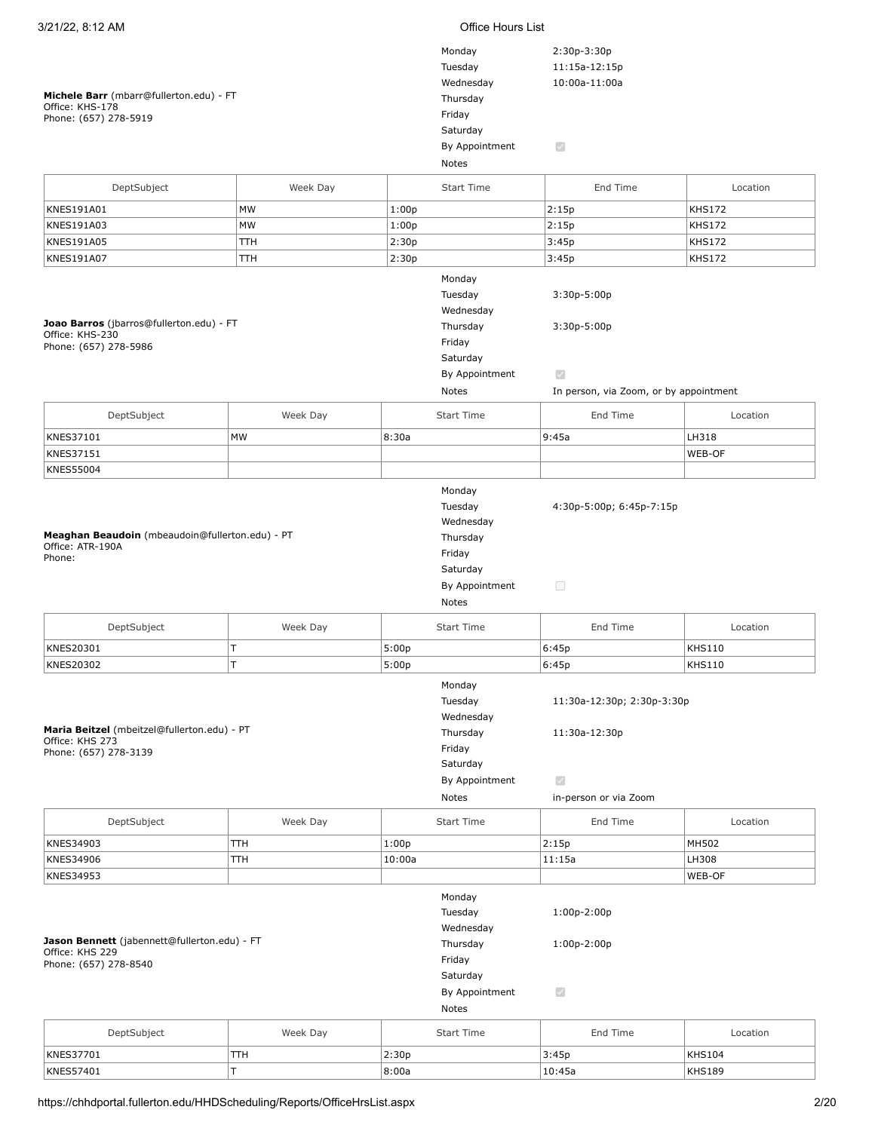| 3/21/22, 8:12 AM                                                                         |          |        | Office Hours List                                                                           |                                                                                           |               |  |
|------------------------------------------------------------------------------------------|----------|--------|---------------------------------------------------------------------------------------------|-------------------------------------------------------------------------------------------|---------------|--|
| Michele Barr (mbarr@fullerton.edu) - FT<br>Office: KHS-178<br>Phone: (657) 278-5919      |          |        | Monday<br>Tuesday<br>Wednesday<br>Thursday<br>Friday<br>Saturday                            | 2:30p-3:30p<br>11:15a-12:15p<br>10:00a-11:00a                                             |               |  |
|                                                                                          |          |        | By Appointment<br>Notes                                                                     | $\bigtriangledown$                                                                        |               |  |
| DeptSubject                                                                              | Week Day |        | <b>Start Time</b>                                                                           | End Time                                                                                  | Location      |  |
| KNES191A01                                                                               | MW       | 1:00p  |                                                                                             | 2:15p                                                                                     | <b>KHS172</b> |  |
| KNES191A03                                                                               | MW       | 1:00p  |                                                                                             | 2:15p                                                                                     | <b>KHS172</b> |  |
| KNES191A05                                                                               | TТH      | 2:30p  |                                                                                             | 3:45p                                                                                     | <b>KHS172</b> |  |
| KNES191A07                                                                               | TTH      | 2:30p  |                                                                                             | 3:45p                                                                                     | <b>KHS172</b> |  |
| Joao Barros (jbarros@fullerton.edu) - FT<br>Office: KHS-230<br>Phone: (657) 278-5986     |          |        | Monday<br>Tuesday<br>Wednesday<br>Thursday<br>Friday<br>Saturday<br>By Appointment<br>Notes | $3:30p-5:00p$<br>$3:30p-5:00p$<br>$\mathcal{S}$<br>In person, via Zoom, or by appointment |               |  |
| DeptSubject                                                                              | Week Day |        | Start Time                                                                                  | End Time                                                                                  | Location      |  |
|                                                                                          |          |        |                                                                                             |                                                                                           |               |  |
| KNES37101                                                                                | MW       | 8:30a  |                                                                                             | 9:45a                                                                                     | LH318         |  |
| KNES37151<br><b>KNES55004</b>                                                            |          |        |                                                                                             |                                                                                           | WEB-OF        |  |
| Meaghan Beaudoin (mbeaudoin@fullerton.edu) - PT<br>Office: ATR-190A<br>Phone:            |          |        | Tuesday<br>Wednesday<br>Thursday<br>Friday<br>Saturday<br>By Appointment<br>Notes           | 4:30p-5:00p; 6:45p-7:15p<br>$\hfill \square$                                              |               |  |
| DeptSubject                                                                              | Week Day |        | <b>Start Time</b>                                                                           | End Time                                                                                  | Location      |  |
| KNES20301                                                                                | İΤ       | 5:00p  |                                                                                             | 6:45p                                                                                     | <b>KHS110</b> |  |
| KNES20302                                                                                | Ш        | 5:00p  |                                                                                             | 6:45p                                                                                     | <b>KHS110</b> |  |
| Maria Beitzel (mbeitzel@fullerton.edu) - PT<br>Office: KHS 273<br>Phone: (657) 278-3139  |          |        | Monday<br>Tuesday<br>Wednesday<br>Thursday<br>Friday<br>Saturday<br>By Appointment<br>Notes | 11:30a-12:30p; 2:30p-3:30p<br>11:30a-12:30p<br>$\mathcal{A}$<br>in-person or via Zoom     |               |  |
| DeptSubject                                                                              | Week Day |        | <b>Start Time</b>                                                                           | End Time                                                                                  | Location      |  |
| KNES34903                                                                                | TTH      | 1:00p  |                                                                                             | 2:15p                                                                                     | MH502         |  |
| KNES34906                                                                                | TTH      | 10:00a |                                                                                             | 11:15a                                                                                    | LH308         |  |
| KNES34953                                                                                |          |        |                                                                                             |                                                                                           | WEB-OF        |  |
| Jason Bennett (jabennett@fullerton.edu) - FT<br>Office: KHS 229<br>Phone: (657) 278-8540 |          |        | Monday<br>Tuesday<br>Wednesday<br>Thursday<br>Friday<br>Saturday<br>By Appointment<br>Notes | $1:00p-2:00p$<br>$1:00p-2:00p$<br>$\blacktriangledown$                                    |               |  |
| DeptSubject                                                                              | Week Day |        | Start Time                                                                                  | End Time                                                                                  | Location      |  |
|                                                                                          |          |        |                                                                                             |                                                                                           |               |  |
| KNES37701                                                                                | TТH      | 2:30p  |                                                                                             | 3:45p                                                                                     | <b>KHS104</b> |  |
| KNES57401                                                                                | T        | 8:00a  |                                                                                             | 10:45a                                                                                    | <b>KHS189</b> |  |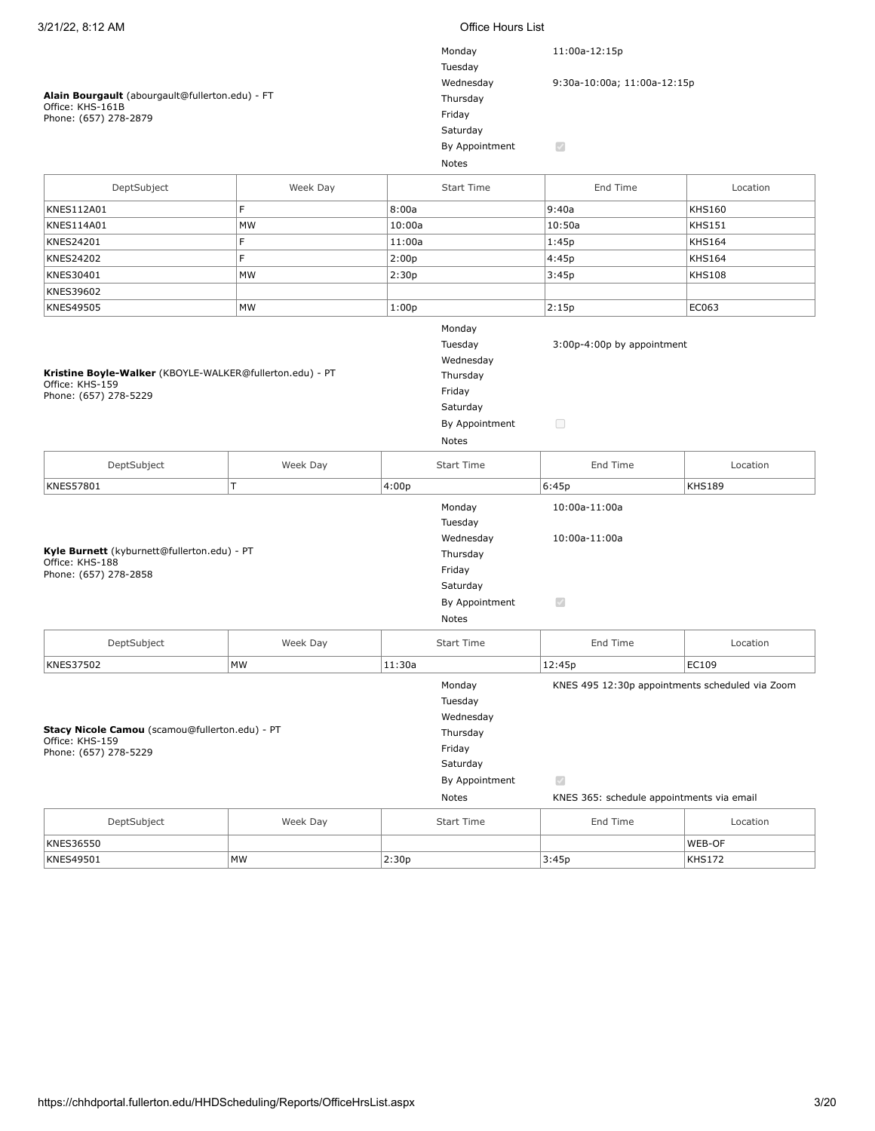### **Alain Bourgault** (abourgault@fullerton.edu) - FT Office: KHS-161B Phone: (657) 278-2879

| Monday         | 11:00a-12:15p               |
|----------------|-----------------------------|
| Tuesday        |                             |
| Wednesday      | 9:30a-10:00a; 11:00a-12:15p |
| Thursday       |                             |
| Friday         |                             |
| Saturday       |                             |
| By Appointment | S                           |
| Notes          |                             |

|                                                                                                      |           | Notes                                                                                       |                                                                                                              |               |
|------------------------------------------------------------------------------------------------------|-----------|---------------------------------------------------------------------------------------------|--------------------------------------------------------------------------------------------------------------|---------------|
| DeptSubject                                                                                          | Week Day  | <b>Start Time</b>                                                                           | End Time                                                                                                     | Location      |
| KNES112A01                                                                                           | F         | 8:00a                                                                                       | 9:40a                                                                                                        | <b>KHS160</b> |
| KNES114A01                                                                                           | <b>MW</b> | 10:00a                                                                                      | 10:50a                                                                                                       | <b>KHS151</b> |
| KNES24201                                                                                            | F         | 11:00a                                                                                      | 1:45p                                                                                                        | <b>KHS164</b> |
| <b>KNES24202</b>                                                                                     | F         | 2:00p                                                                                       | 4:45p                                                                                                        | <b>KHS164</b> |
| KNES30401                                                                                            | MW        | 2:30p                                                                                       | 3:45p                                                                                                        | <b>KHS108</b> |
| KNES39602                                                                                            |           |                                                                                             |                                                                                                              |               |
| KNES49505                                                                                            | MW        | 1:00p                                                                                       | 2:15p                                                                                                        | EC063         |
| Kristine Boyle-Walker (KBOYLE-WALKER@fullerton.edu) - PT<br>Office: KHS-159<br>Phone: (657) 278-5229 |           | Monday<br>Tuesday<br>Wednesday<br>Thursday<br>Friday<br>Saturday<br>By Appointment<br>Notes | 3:00p-4:00p by appointment<br>$\Box$                                                                         |               |
| DeptSubject                                                                                          | Week Day  | <b>Start Time</b>                                                                           | End Time                                                                                                     | Location      |
| KNES57801                                                                                            | T         | 4:00p                                                                                       | 6:45p                                                                                                        | <b>KHS189</b> |
| Kyle Burnett (kyburnett@fullerton.edu) - PT<br>Office: KHS-188<br>Phone: (657) 278-2858              |           | Monday<br>Tuesday<br>Wednesday<br>Thursday<br>Friday<br>Saturday<br>By Appointment<br>Notes | 10:00a-11:00a<br>10:00a-11:00a<br>$\blacktriangledown$                                                       |               |
| DeptSubject                                                                                          | Week Day  | <b>Start Time</b>                                                                           | End Time                                                                                                     | Location      |
| <b>KNES37502</b>                                                                                     | <b>MW</b> | 11:30a                                                                                      | 12:45p                                                                                                       | EC109         |
| Stacy Nicole Camou (scamou@fullerton.edu) - PT<br>Office: KHS-159<br>Phone: (657) 278-5229           |           | Monday<br>Tuesday<br>Wednesday<br>Thursday<br>Friday<br>Saturday<br>By Appointment<br>Notes | KNES 495 12:30p appointments scheduled via Zoom<br>$\checkmark$<br>KNES 365: schedule appointments via email |               |
| DeptSubject                                                                                          | Week Day  | <b>Start Time</b>                                                                           | End Time                                                                                                     | Location      |
| <b>KNES36550</b>                                                                                     |           |                                                                                             |                                                                                                              | WEB-OF        |
|                                                                                                      |           |                                                                                             |                                                                                                              |               |

KNES49501 MW 2:30p 3:45p KHS172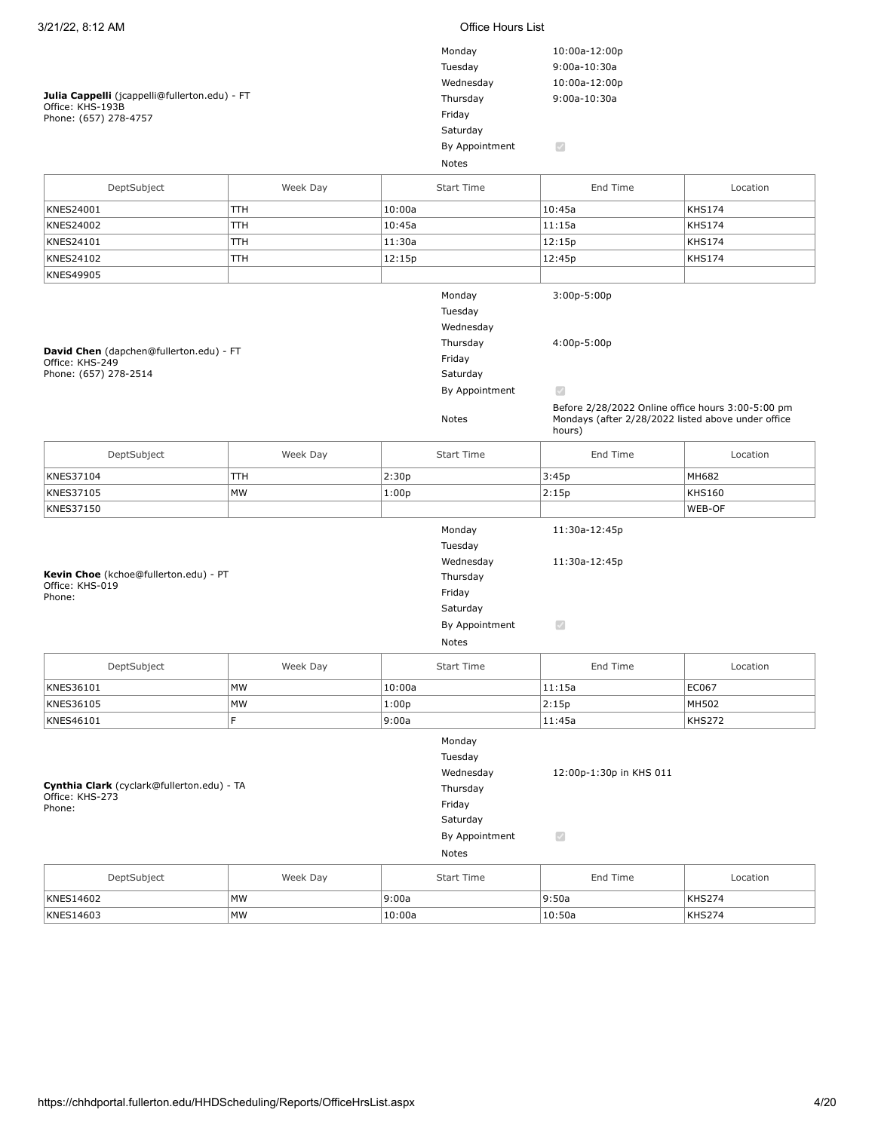| 3/21/22, 8:12 AM                                                                           |          |        | Office Hours List                                                                           |                                                                                                                                                                  |               |
|--------------------------------------------------------------------------------------------|----------|--------|---------------------------------------------------------------------------------------------|------------------------------------------------------------------------------------------------------------------------------------------------------------------|---------------|
| Julia Cappelli (jcappelli@fullerton.edu) - FT<br>Office: KHS-193B<br>Phone: (657) 278-4757 |          |        | Monday<br>Tuesday<br>Wednesday<br>Thursday<br>Friday<br>Saturday<br>By Appointment          | 10:00a-12:00p<br>9:00a-10:30a<br>10:00a-12:00p<br>9:00a-10:30a<br>$\overline{\mathcal{S}}$                                                                       |               |
|                                                                                            |          |        | Notes                                                                                       |                                                                                                                                                                  |               |
| DeptSubject                                                                                | Week Day |        | <b>Start Time</b>                                                                           | End Time                                                                                                                                                         | Location      |
| KNES24001                                                                                  | TTH      | 10:00a |                                                                                             | 10:45a                                                                                                                                                           | <b>KHS174</b> |
| KNES24002                                                                                  | TTH      | 10:45a |                                                                                             | 11:15a                                                                                                                                                           | <b>KHS174</b> |
| KNES24101                                                                                  | TTH      | 11:30a |                                                                                             | 12:15p                                                                                                                                                           | <b>KHS174</b> |
| KNES24102                                                                                  | TТH      | 12:15p |                                                                                             | 12:45p                                                                                                                                                           | <b>KHS174</b> |
| KNES49905                                                                                  |          |        |                                                                                             |                                                                                                                                                                  |               |
| David Chen (dapchen@fullerton.edu) - FT<br>Office: KHS-249<br>Phone: (657) 278-2514        |          |        | Monday<br>Tuesday<br>Wednesday<br>Thursday<br>Friday<br>Saturday<br>By Appointment<br>Notes | 3:00p-5:00p<br>4:00p-5:00p<br>$\mathcal{A}$<br>Before 2/28/2022 Online office hours 3:00-5:00 pm<br>Mondays (after 2/28/2022 listed above under office<br>hours) |               |
| DeptSubject                                                                                | Week Day |        | <b>Start Time</b>                                                                           | End Time                                                                                                                                                         | Location      |
| KNES37104                                                                                  | TTH      | 2:30p  |                                                                                             | 3:45p                                                                                                                                                            | MH682         |
| KNES37105                                                                                  | MW       | 1:00p  |                                                                                             | 2:15p                                                                                                                                                            | <b>KHS160</b> |
| KNES37150                                                                                  |          |        |                                                                                             |                                                                                                                                                                  | WEB-OF        |
| Kevin Choe (kchoe@fullerton.edu) - PT<br>Office: KHS-019<br>Phone:                         |          |        | Monday<br>Tuesday<br>Wednesday<br>Thursday<br>Friday<br>Saturday<br>By Appointment<br>Notes | 11:30a-12:45p<br>11:30a-12:45p<br>$\mathcal{S}$                                                                                                                  |               |
| DeptSubject                                                                                | Week Day |        | <b>Start Time</b>                                                                           | End Time                                                                                                                                                         | Location      |
| KNES36101                                                                                  | MW       | 10:00a |                                                                                             | 11:15a                                                                                                                                                           | EC067         |
| KNES36105                                                                                  | MW       | 1:00p  |                                                                                             | 2:15p                                                                                                                                                            | MH502         |
| KNES46101                                                                                  | F        | 9:00a  |                                                                                             | 11:45a                                                                                                                                                           | <b>KHS272</b> |
| Cynthia Clark (cyclark@fullerton.edu) - TA<br>Office: KHS-273<br>Phone:                    |          |        | Monday<br>Tuesday<br>Wednesday<br>Thursday<br>Friday<br>Saturday<br>By Appointment<br>Notes | 12:00p-1:30p in KHS 011<br>$\blacktriangledown$                                                                                                                  |               |
| DeptSubject                                                                                | Week Day |        | <b>Start Time</b>                                                                           | End Time                                                                                                                                                         | Location      |
| KNES14602                                                                                  | MW       | 9:00a  |                                                                                             | 9:50a                                                                                                                                                            | KHS274        |

KNES14603 MW 10:00a 10:50a KHS274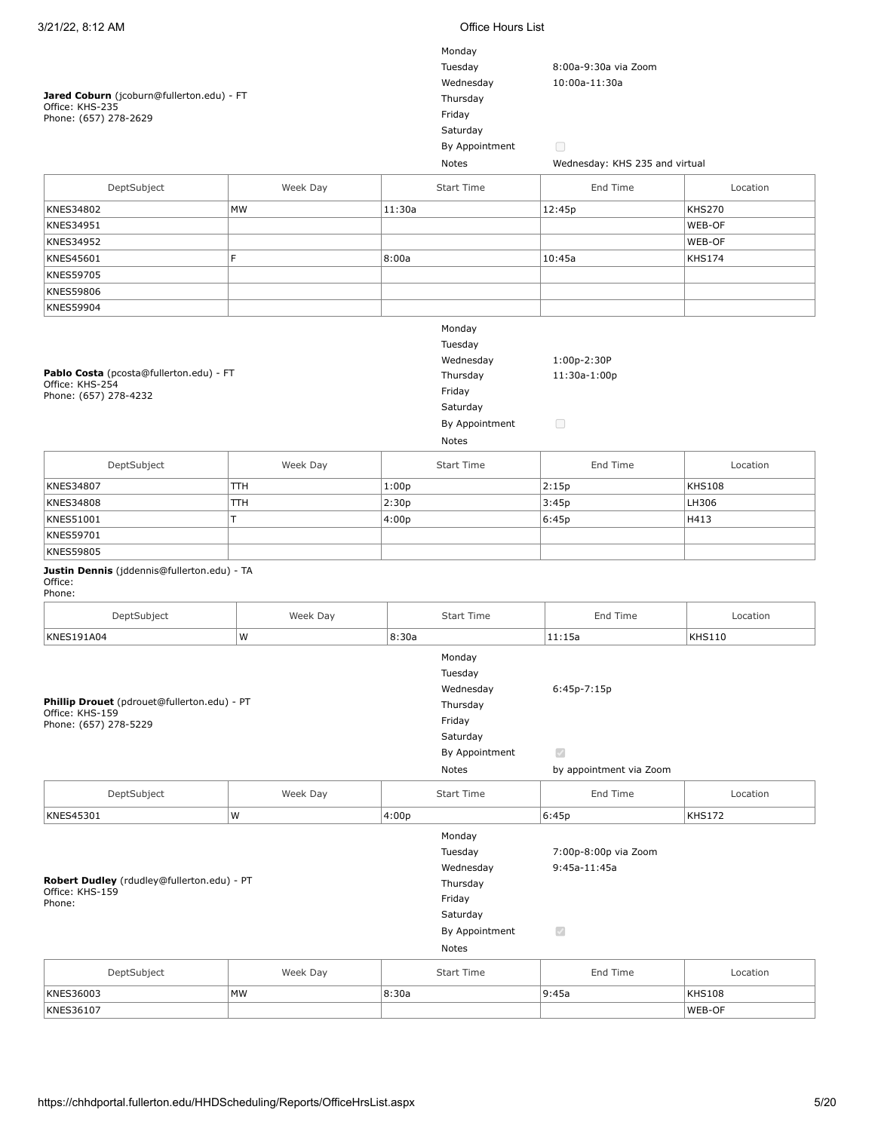| 3/21/22, 8:12 AM                                                                        |          |        | Office Hours List                                                                           |                                                                |               |  |  |
|-----------------------------------------------------------------------------------------|----------|--------|---------------------------------------------------------------------------------------------|----------------------------------------------------------------|---------------|--|--|
| Jared Coburn (jcoburn@fullerton.edu) - FT                                               |          |        | Monday<br>Tuesday<br>Wednesday<br>Thursday                                                  | 8:00a-9:30a via Zoom<br>10:00a-11:30a                          |               |  |  |
| Office: KHS-235<br>Phone: (657) 278-2629                                                |          |        | Friday                                                                                      |                                                                |               |  |  |
|                                                                                         |          |        | Saturday                                                                                    |                                                                |               |  |  |
|                                                                                         |          |        | By Appointment<br>Notes                                                                     | $\Box$<br>Wednesday: KHS 235 and virtual                       |               |  |  |
|                                                                                         |          |        |                                                                                             |                                                                |               |  |  |
| DeptSubject                                                                             | Week Day |        | <b>Start Time</b>                                                                           | End Time                                                       | Location      |  |  |
| KNES34802                                                                               | MW       | 11:30a |                                                                                             | 12:45p                                                         | <b>KHS270</b> |  |  |
| KNES34951                                                                               |          |        |                                                                                             |                                                                | WEB-OF        |  |  |
| KNES34952                                                                               |          |        |                                                                                             |                                                                | WEB-OF        |  |  |
| KNES45601                                                                               | F        | 8:00a  |                                                                                             | 10:45a                                                         | <b>KHS174</b> |  |  |
| <b>KNES59705</b>                                                                        |          |        |                                                                                             |                                                                |               |  |  |
| <b>KNES59806</b>                                                                        |          |        |                                                                                             |                                                                |               |  |  |
| <b>KNES59904</b>                                                                        |          |        |                                                                                             |                                                                |               |  |  |
| Pablo Costa (pcosta@fullerton.edu) - FT<br>Office: KHS-254<br>Phone: (657) 278-4232     |          |        | Monday<br>Tuesday<br>Wednesday<br>Thursday<br>Friday<br>Saturday<br>By Appointment<br>Notes | 1:00p-2:30P<br>11:30a-1:00p<br>$\Box$                          |               |  |  |
| DeptSubject                                                                             | Week Day |        | <b>Start Time</b>                                                                           | End Time                                                       | Location      |  |  |
| KNES34807                                                                               | TTH      | 1:00p  |                                                                                             | 2:15p                                                          | <b>KHS108</b> |  |  |
| <b>KNES34808</b>                                                                        | TTH      | 2:30p  |                                                                                             | 3:45p                                                          | LH306         |  |  |
| KNES51001                                                                               | T        | 4:00p  |                                                                                             | 6:45p                                                          | H413          |  |  |
| KNES59701                                                                               |          |        |                                                                                             |                                                                |               |  |  |
| <b>KNES59805</b>                                                                        |          |        |                                                                                             |                                                                |               |  |  |
| Justin Dennis (jddennis@fullerton.edu) - TA<br>Office:<br>Phone:                        |          |        |                                                                                             |                                                                |               |  |  |
| DeptSubject                                                                             | Week Day |        | Start Time                                                                                  | End Time                                                       | Location      |  |  |
| <b>KNES191A04</b>                                                                       | W        | 8:30a  |                                                                                             | 11:15a                                                         | <b>KHS110</b> |  |  |
| Phillip Drouet (pdrouet@fullerton.edu) - PT<br>Office: KHS-159<br>Phone: (657) 278-5229 |          |        | Monday<br>Tuesday<br>Wednesday<br>Thursday<br>Friday<br>Saturday<br>By Appointment<br>Notes | $6:45p-7:15p$<br>$\bigtriangledown$<br>by appointment via Zoom |               |  |  |
| DeptSubject                                                                             | Week Day |        | <b>Start Time</b>                                                                           | End Time                                                       | Location      |  |  |
| KNES45301                                                                               | W        | 4:00p  |                                                                                             | 6:45p                                                          | <b>KHS172</b> |  |  |
| Robert Dudley (rdudley@fullerton.edu) - PT<br>Office: KHS-159<br>Phone:                 |          |        | Monday<br>Tuesday<br>Wednesday<br>Thursday<br>Friday<br>Saturday<br>By Appointment<br>Notes | 7:00p-8:00p via Zoom<br>$9:45a-11:45a$<br>$\mathcal{S}$        |               |  |  |
| DeptSubject                                                                             | Week Day |        | <b>Start Time</b>                                                                           | End Time                                                       | Location      |  |  |
| KNES36003                                                                               | MW       | 8:30a  |                                                                                             | 9:45a                                                          | <b>KHS108</b> |  |  |
| KNES36107                                                                               |          |        |                                                                                             |                                                                | WEB-OF        |  |  |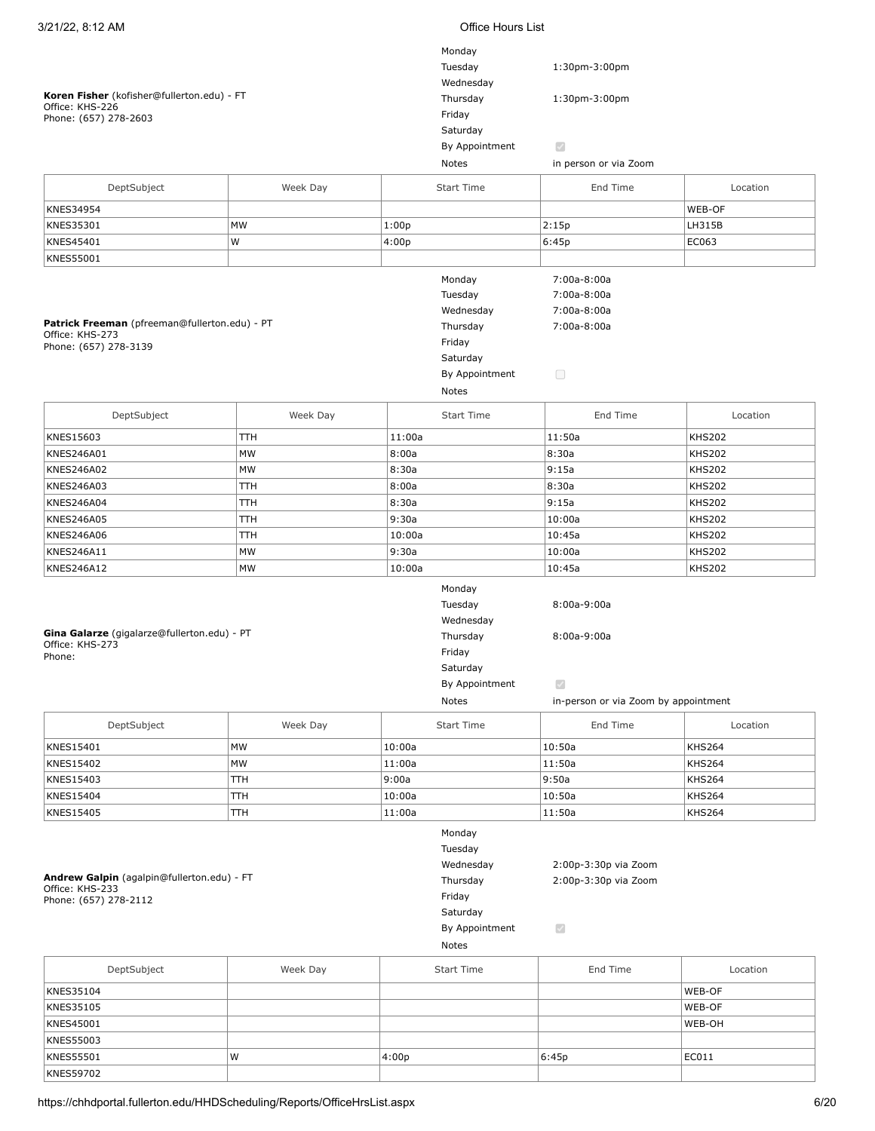| 3/21/22, 8:12 AM<br><b>Office Hours List</b>  |          |        |                   |                                      |               |
|-----------------------------------------------|----------|--------|-------------------|--------------------------------------|---------------|
|                                               |          |        | Monday            |                                      |               |
|                                               |          |        | Tuesday           | 1:30pm-3:00pm                        |               |
|                                               |          |        | Wednesday         |                                      |               |
| Koren Fisher (kofisher@fullerton.edu) - FT    |          |        |                   | Thursday<br>1:30pm-3:00pm            |               |
| Office: KHS-226                               |          |        | Friday            |                                      |               |
| Phone: (657) 278-2603                         |          |        | Saturday          |                                      |               |
|                                               |          |        | By Appointment    | $\bigtriangledown$                   |               |
|                                               |          |        |                   |                                      |               |
|                                               |          |        | Notes             | in person or via Zoom                |               |
| DeptSubject                                   | Week Day |        | <b>Start Time</b> | End Time                             | Location      |
| KNES34954                                     |          |        |                   |                                      | WEB-OF        |
| KNES35301                                     | MW       | 1:00p  |                   | 2:15p                                | LH315B        |
|                                               |          |        |                   |                                      |               |
| KNES45401                                     | W        | 4:00p  |                   | 6:45p                                | EC063         |
| KNES55001                                     |          |        |                   |                                      |               |
|                                               |          |        | Monday            | 7:00a-8:00a                          |               |
|                                               |          |        | Tuesday           | 7:00a-8:00a                          |               |
|                                               |          |        | Wednesday         | 7:00a-8:00a                          |               |
| Patrick Freeman (pfreeman@fullerton.edu) - PT |          |        | Thursday          | 7:00a-8:00a                          |               |
| Office: KHS-273<br>Phone: (657) 278-3139      |          |        | Friday            |                                      |               |
|                                               |          |        | Saturday          |                                      |               |
|                                               |          |        | By Appointment    | $\Box$                               |               |
|                                               |          |        | Notes             |                                      |               |
|                                               |          |        |                   |                                      |               |
| DeptSubject                                   | Week Day |        | <b>Start Time</b> | End Time                             | Location      |
| KNES15603                                     | TTH      | 11:00a |                   | 11:50a                               | <b>KHS202</b> |
| KNES246A01                                    | MW       | 8:00a  |                   | 8:30a                                | <b>KHS202</b> |
| KNES246A02                                    | MW       | 8:30a  |                   | 9:15a                                | <b>KHS202</b> |
| <b>KNES246A03</b>                             | TTH      | 8:00a  |                   | 8:30a                                | <b>KHS202</b> |
| <b>KNES246A04</b>                             | TTH      | 8:30a  |                   | 9:15a                                | <b>KHS202</b> |
| <b>KNES246A05</b>                             | TTH      | 9:30a  |                   | 10:00a                               | <b>KHS202</b> |
| <b>KNES246A06</b>                             | TTH      | 10:00a |                   | 10:45a                               | <b>KHS202</b> |
| KNES246A11                                    | MW       | 9:30a  |                   | 10:00a                               | <b>KHS202</b> |
| KNES246A12                                    | MW       | 10:00a |                   | 10:45a                               | <b>KHS202</b> |
|                                               |          |        |                   |                                      |               |
|                                               |          |        | Monday            |                                      |               |
|                                               |          |        | Tuesday           | $8:00a-9:00a$                        |               |
| Gina Galarze (gigalarze@fullerton.edu) - PT   |          |        | Wednesday         |                                      |               |
| Office: KHS-273                               |          |        | Thursday          | $8:00a-9:00a$                        |               |
| Phone:                                        |          |        | Friday            |                                      |               |
|                                               |          |        | Saturday          |                                      |               |
|                                               |          |        | By Appointment    | $\overline{\mathcal{L}}$             |               |
|                                               |          |        | Notes             | in-person or via Zoom by appointment |               |
| DeptSubject                                   | Week Day |        | <b>Start Time</b> | End Time                             | Location      |
|                                               |          |        |                   |                                      |               |
| KNES15401                                     | MW       | 10:00a |                   | 10:50a                               | <b>KHS264</b> |
| KNES15402                                     | MW       | 11:00a |                   | 11:50a                               | KHS264        |
| KNES15403                                     | TTH      | 9:00a  |                   | 9:50a                                | KHS264        |
| KNES15404                                     | TTH      | 10:00a |                   | 10:50a                               | KHS264        |
| KNES15405                                     | TTH      | 11:00a |                   | 11:50a                               | KHS264        |
|                                               |          |        | Monday            |                                      |               |
|                                               |          |        | Tuesday           |                                      |               |
|                                               |          |        | Wednesday         | 2:00p-3:30p via Zoom                 |               |
| Andrew Galpin (agalpin@fullerton.edu) - FT    |          |        | Thursday          | 2:00p-3:30p via Zoom                 |               |
| Office: KHS-233<br>Phone: (657) 278-2112      |          |        | Friday            |                                      |               |
|                                               |          |        | Saturday          |                                      |               |
|                                               |          |        | By Appointment    | $\overline{\mathcal{S}}$             |               |
|                                               |          |        | Notes             |                                      |               |
|                                               |          |        |                   |                                      |               |
| DeptSubject                                   | Week Day |        | <b>Start Time</b> | End Time                             | Location      |
| KNES35104                                     |          |        |                   |                                      | WEB-OF        |
| KNES35105                                     |          |        |                   |                                      | WEB-OF        |
| KNES45001                                     |          |        |                   |                                      | WEB-OH        |
| KNES55003                                     |          |        |                   |                                      |               |
|                                               |          |        |                   |                                      |               |

KNES55501 | |W | 4:00p | 6:45p | 6:45p | EC011

**KNES59702**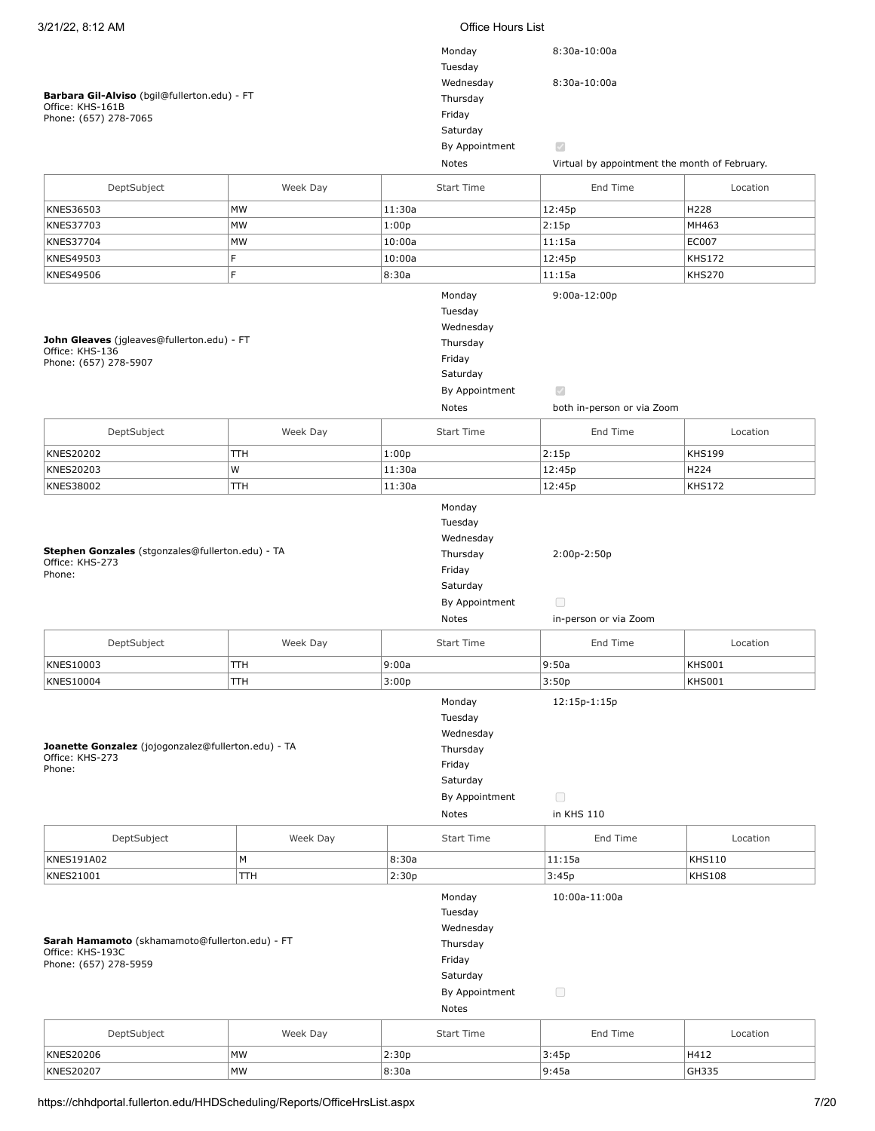| 3/21/22, 8:12 AM                                                   |            | <b>Office Hours List</b> |                   |                                               |               |  |  |
|--------------------------------------------------------------------|------------|--------------------------|-------------------|-----------------------------------------------|---------------|--|--|
|                                                                    |            |                          | Monday<br>Tuesday | 8:30a-10:00a                                  |               |  |  |
|                                                                    |            |                          | Wednesday         | 8:30a-10:00a                                  |               |  |  |
| Barbara Gil-Alviso (bgil@fullerton.edu) - FT<br>Office: KHS-161B   |            |                          | Thursday          |                                               |               |  |  |
| Phone: (657) 278-7065                                              |            |                          | Friday            |                                               |               |  |  |
|                                                                    |            |                          | Saturday          |                                               |               |  |  |
|                                                                    |            |                          | By Appointment    | $\bigtriangledown$                            |               |  |  |
|                                                                    |            |                          | Notes             | Virtual by appointment the month of February. |               |  |  |
|                                                                    |            |                          |                   |                                               |               |  |  |
| DeptSubject                                                        | Week Day   |                          | <b>Start Time</b> | End Time                                      | Location      |  |  |
| KNES36503                                                          | MW         | 11:30a                   |                   | 12:45p                                        | H228          |  |  |
| KNES37703                                                          | MW         | 1:00p                    |                   | 2:15p                                         | MH463         |  |  |
| <b>KNES37704</b>                                                   | MW         | 10:00a                   |                   | 11:15a                                        | EC007         |  |  |
| KNES49503                                                          | F.         | 10:00a                   |                   | 12:45p                                        | <b>KHS172</b> |  |  |
| <b>KNES49506</b>                                                   | F          | 8:30a                    |                   | 11:15a                                        | <b>KHS270</b> |  |  |
|                                                                    |            |                          |                   |                                               |               |  |  |
|                                                                    |            |                          | Monday            | $9:00a-12:00p$                                |               |  |  |
|                                                                    |            |                          | Tuesday           |                                               |               |  |  |
|                                                                    |            |                          | Wednesday         |                                               |               |  |  |
| John Gleaves (jgleaves@fullerton.edu) - FT                         |            |                          | Thursday          |                                               |               |  |  |
| Office: KHS-136<br>Phone: (657) 278-5907                           |            |                          | Friday            |                                               |               |  |  |
|                                                                    |            |                          | Saturday          |                                               |               |  |  |
|                                                                    |            |                          | By Appointment    | $\mathcal{S}$                                 |               |  |  |
|                                                                    |            |                          | Notes             | both in-person or via Zoom                    |               |  |  |
|                                                                    |            |                          |                   |                                               |               |  |  |
| DeptSubject                                                        | Week Day   |                          | <b>Start Time</b> | End Time                                      | Location      |  |  |
| KNES20202                                                          | TТH        | 1:00p                    |                   | 2:15p                                         | <b>KHS199</b> |  |  |
| KNES20203                                                          | W          | 11:30a                   |                   | 12:45p                                        | H224          |  |  |
| KNES38002                                                          | TТH        | 11:30a                   |                   | 12:45p                                        | <b>KHS172</b> |  |  |
|                                                                    |            |                          | Monday            |                                               |               |  |  |
|                                                                    |            |                          | Tuesday           |                                               |               |  |  |
|                                                                    |            |                          | Wednesday         |                                               |               |  |  |
| Stephen Gonzales (stgonzales@fullerton.edu) - TA                   |            |                          | Thursday          | 2:00p-2:50p                                   |               |  |  |
| Office: KHS-273                                                    |            |                          | Friday            |                                               |               |  |  |
| Phone:                                                             |            |                          | Saturday          |                                               |               |  |  |
|                                                                    |            |                          |                   |                                               |               |  |  |
|                                                                    |            |                          | By Appointment    | 0                                             |               |  |  |
|                                                                    |            |                          | Notes             | in-person or via Zoom                         |               |  |  |
| DeptSubject                                                        | Week Day   |                          | <b>Start Time</b> | End Time                                      | Location      |  |  |
| KNES10003                                                          | <b>TTH</b> | 9:00a                    |                   | 9:50a                                         | <b>KHS001</b> |  |  |
| KNES10004                                                          | TTH        | 3:00p                    |                   | 3:50p                                         | <b>KHS001</b> |  |  |
|                                                                    |            |                          | Monday            | 12:15p-1:15p                                  |               |  |  |
|                                                                    |            |                          | Tuesday           |                                               |               |  |  |
|                                                                    |            |                          | Wednesday         |                                               |               |  |  |
| Joanette Gonzalez (jojogonzalez@fullerton.edu) - TA                |            |                          |                   |                                               |               |  |  |
| Office: KHS-273                                                    |            |                          | Thursday          |                                               |               |  |  |
| Phone:                                                             |            |                          | Friday            |                                               |               |  |  |
|                                                                    |            |                          | Saturday          |                                               |               |  |  |
|                                                                    |            |                          | By Appointment    | $\Box$                                        |               |  |  |
|                                                                    |            |                          | Notes             | in KHS 110                                    |               |  |  |
| DeptSubject                                                        | Week Day   |                          | Start Time        | End Time                                      | Location      |  |  |
| KNES191A02                                                         | M          | 8:30a                    |                   | 11:15a                                        | <b>KHS110</b> |  |  |
| KNES21001                                                          | TTH        | 2:30p                    |                   | 3:45p                                         | <b>KHS108</b> |  |  |
|                                                                    |            |                          |                   |                                               |               |  |  |
|                                                                    |            |                          | Monday            | 10:00a-11:00a                                 |               |  |  |
|                                                                    |            |                          | Tuesday           |                                               |               |  |  |
|                                                                    |            |                          | Wednesday         |                                               |               |  |  |
| Sarah Hamamoto (skhamamoto@fullerton.edu) - FT<br>Office: KHS-193C |            |                          | Thursday          |                                               |               |  |  |
| Phone: (657) 278-5959                                              |            |                          | Friday            |                                               |               |  |  |
|                                                                    |            |                          | Saturday          |                                               |               |  |  |
|                                                                    |            |                          | By Appointment    | $\Box$                                        |               |  |  |
|                                                                    |            |                          | Notes             |                                               |               |  |  |
| DeptSubject                                                        | Week Day   |                          | <b>Start Time</b> | End Time                                      | Location      |  |  |
|                                                                    |            |                          |                   |                                               |               |  |  |
| KNES20206                                                          | MW         | 2:30p                    |                   | 3:45p                                         | H412          |  |  |
| <b>KNES20207</b>                                                   | MW         | 8:30a                    |                   | 9:45a                                         | GH335         |  |  |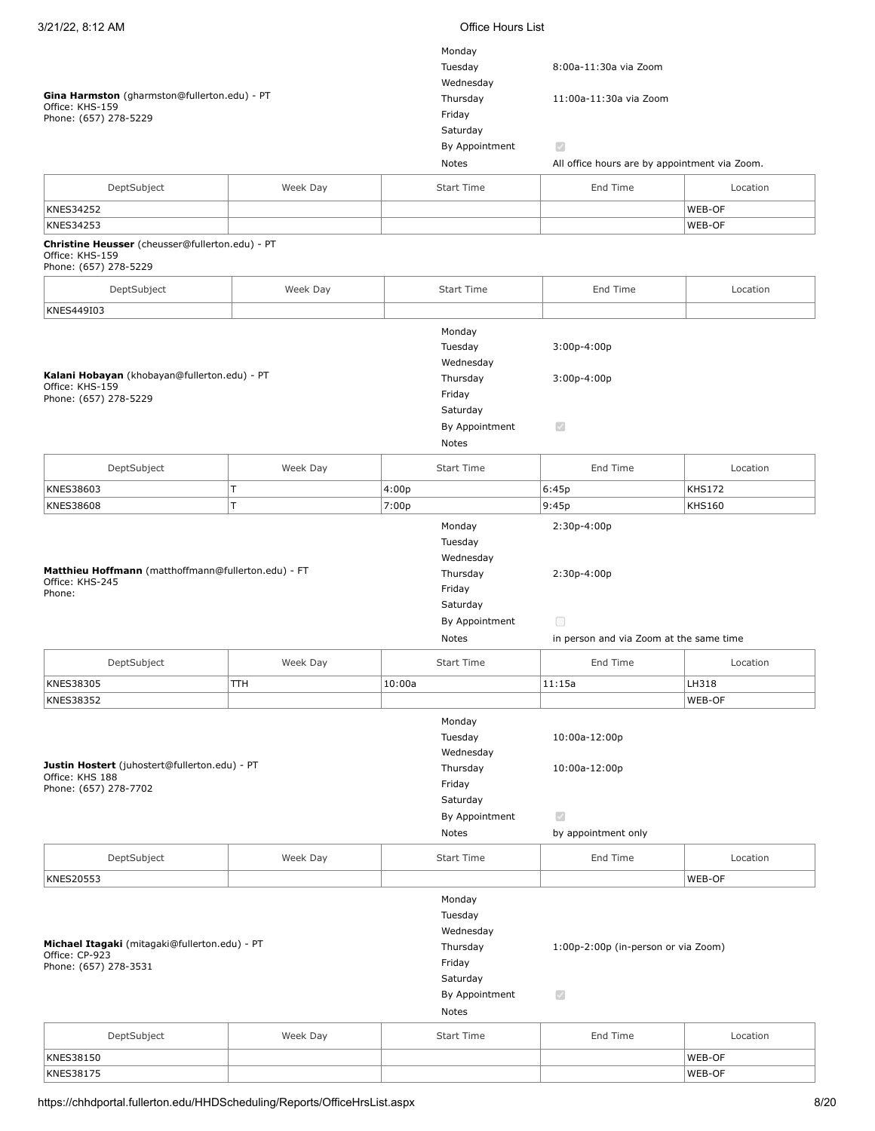| 3/21/22, 8:12 AM                                                                            |          |        | <b>Office Hours List</b>                                                                           |                                                                       |               |  |  |
|---------------------------------------------------------------------------------------------|----------|--------|----------------------------------------------------------------------------------------------------|-----------------------------------------------------------------------|---------------|--|--|
| Gina Harmston (gharmston@fullerton.edu) - PT<br>Office: KHS-159<br>Phone: (657) 278-5229    |          |        | Monday<br>Tuesday<br>Wednesday<br>Thursday<br>Friday<br>Saturday<br>By Appointment                 | 8:00a-11:30a via Zoom<br>11:00a-11:30a via Zoom<br>$\bigtriangledown$ |               |  |  |
|                                                                                             |          |        | Notes                                                                                              | All office hours are by appointment via Zoom.                         |               |  |  |
| DeptSubject                                                                                 | Week Day |        | Start Time                                                                                         | End Time                                                              | Location      |  |  |
| KNES34252                                                                                   |          |        |                                                                                                    |                                                                       | WEB-OF        |  |  |
| KNES34253                                                                                   |          |        |                                                                                                    |                                                                       | WEB-OF        |  |  |
| Christine Heusser (cheusser@fullerton.edu) - PT<br>Office: KHS-159<br>Phone: (657) 278-5229 |          |        |                                                                                                    |                                                                       |               |  |  |
| DeptSubject                                                                                 | Week Day |        | <b>Start Time</b>                                                                                  | End Time                                                              | Location      |  |  |
| KNES449I03                                                                                  |          |        |                                                                                                    |                                                                       |               |  |  |
| Kalani Hobayan (khobayan@fullerton.edu) - PT<br>Office: KHS-159<br>Phone: (657) 278-5229    |          |        | Monday<br>Tuesday<br>Wednesday<br>Thursday<br>Friday<br>Saturday<br>By Appointment<br>Notes        | $3:00p-4:00p$<br>$3:00p-4:00p$<br>$\mathcal{S}$                       |               |  |  |
| DeptSubject                                                                                 | Week Day |        | <b>Start Time</b>                                                                                  | End Time                                                              | Location      |  |  |
| KNES38603                                                                                   | T        | 4:00p  |                                                                                                    | 6:45p                                                                 | <b>KHS172</b> |  |  |
| <b>KNES38608</b>                                                                            | T        | 7:00p  |                                                                                                    | 9:45p                                                                 | <b>KHS160</b> |  |  |
| Matthieu Hoffmann (matthoffmann@fullerton.edu) - FT<br>Office: KHS-245<br>Phone:            |          |        | Tuesday<br>Wednesday<br>Thursday<br>Friday<br>Saturday<br>By Appointment<br>Notes                  | 2:30p-4:00p<br>$\Box$<br>in person and via Zoom at the same time      |               |  |  |
| DeptSubject                                                                                 | Week Day |        | Start Time                                                                                         | End Time                                                              | Location      |  |  |
| KNES38305                                                                                   | TTH      | 10:00a |                                                                                                    | 11:15a                                                                | LH318         |  |  |
| KNES38352                                                                                   |          |        |                                                                                                    |                                                                       | WEB-OF        |  |  |
| Justin Hostert (juhostert@fullerton.edu) - PT<br>Office: KHS 188<br>Phone: (657) 278-7702   |          |        | Monday<br>Tuesday<br>Wednesday<br>Thursday<br>Friday<br>Saturday<br>By Appointment<br><b>Notes</b> | 10:00a-12:00p<br>10:00a-12:00p<br>M<br>by appointment only            |               |  |  |
| DeptSubject                                                                                 | Week Day |        | Start Time                                                                                         | End Time                                                              | Location      |  |  |
| KNES20553                                                                                   |          |        |                                                                                                    |                                                                       | WEB-OF        |  |  |
| Michael Itagaki (mitagaki@fullerton.edu) - PT<br>Office: CP-923<br>Phone: (657) 278-3531    |          |        | Monday<br>Tuesday<br>Wednesday<br>Thursday<br>Friday<br>Saturday<br>By Appointment<br>Notes        | 1:00p-2:00p (in-person or via Zoom)<br>$\checkmark$                   |               |  |  |
| DeptSubject                                                                                 | Week Day |        | <b>Start Time</b>                                                                                  | End Time                                                              | Location      |  |  |
| KNES38150                                                                                   |          |        |                                                                                                    |                                                                       | WEB-OF        |  |  |
| KNES38175                                                                                   |          |        |                                                                                                    |                                                                       | WEB-OF        |  |  |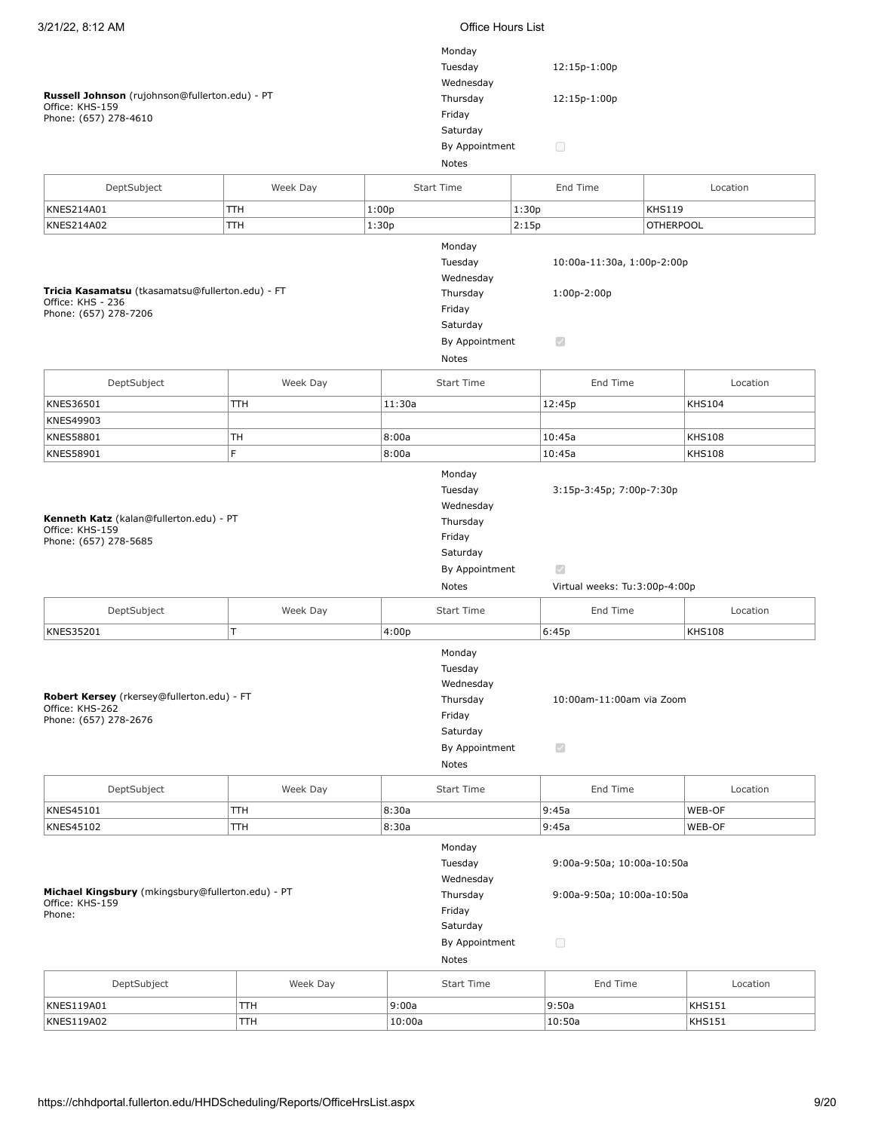| 3/21/22, 8:12 AM                                                                               |                                                                                             | <b>Office Hours List</b>                                                                    |                                                                     |                           |  |  |
|------------------------------------------------------------------------------------------------|---------------------------------------------------------------------------------------------|---------------------------------------------------------------------------------------------|---------------------------------------------------------------------|---------------------------|--|--|
| Russell Johnson (rujohnson@fullerton.edu) - PT<br>Office: KHS-159<br>Phone: (657) 278-4610     | Monday<br>Tuesday<br>Wednesday<br>Thursday<br>Friday<br>Saturday<br>By Appointment<br>Notes | 12:15p-1:00p<br>12:15p-1:00p<br>$\Box$                                                      |                                                                     |                           |  |  |
| DeptSubject                                                                                    | Week Day                                                                                    | <b>Start Time</b>                                                                           | End Time                                                            | Location                  |  |  |
| KNES214A01                                                                                     | TTH                                                                                         | 1:00p                                                                                       | 1:30p                                                               | <b>KHS119</b>             |  |  |
| KNES214A02                                                                                     | TTH                                                                                         | 1:30p                                                                                       | 2:15p                                                               | <b>OTHERPOOL</b>          |  |  |
| Tricia Kasamatsu (tkasamatsu@fullerton.edu) - FT<br>Office: KHS - 236<br>Phone: (657) 278-7206 |                                                                                             | Monday<br>Tuesday<br>Wednesday<br>Thursday<br>Friday<br>Saturday<br>By Appointment<br>Notes | 10:00a-11:30a, 1:00p-2:00p<br>$1:00p-2:00p$<br>$\blacktriangledown$ |                           |  |  |
|                                                                                                | Week Day                                                                                    | <b>Start Time</b>                                                                           | End Time                                                            | Location                  |  |  |
| DeptSubject                                                                                    |                                                                                             |                                                                                             |                                                                     |                           |  |  |
| KNES36501<br>KNES49903                                                                         | <b>TTH</b>                                                                                  | 11:30a                                                                                      | 12:45p                                                              | <b>KHS104</b>             |  |  |
| KNES58801                                                                                      | TН                                                                                          | 8:00a                                                                                       | 10:45a                                                              | <b>KHS108</b>             |  |  |
| KNES58901                                                                                      | F.                                                                                          | 8:00a                                                                                       | 10:45a                                                              | <b>KHS108</b>             |  |  |
| Kenneth Katz (kalan@fullerton.edu) - PT<br>Office: KHS-159<br>Phone: (657) 278-5685            |                                                                                             | Wednesday<br>Thursday<br>Friday<br>Saturday<br>By Appointment<br>Notes                      | $\mathcal{S}$<br>Virtual weeks: Tu:3:00p-4:00p                      |                           |  |  |
| DeptSubject                                                                                    | Week Day                                                                                    | <b>Start Time</b>                                                                           | End Time                                                            | Location                  |  |  |
| KNES35201                                                                                      | T                                                                                           | 4:00p                                                                                       | 6:45p                                                               | <b>KHS108</b>             |  |  |
| Robert Kersey (rkersey@fullerton.edu) - FT<br>Office: KHS-262<br>Phone: (657) 278-2676         |                                                                                             | Monday<br>Tuesday<br>Wednesday<br>Thursday                                                  |                                                                     |                           |  |  |
|                                                                                                |                                                                                             | Friday<br>Saturday<br>By Appointment<br>Notes                                               | 10:00am-11:00am via Zoom<br>$\checkmark$                            |                           |  |  |
| DeptSubject                                                                                    | Week Day                                                                                    | <b>Start Time</b>                                                                           | End Time                                                            | Location                  |  |  |
| KNES45101                                                                                      | TTH                                                                                         | 8:30a                                                                                       | 9:45a                                                               | WEB-OF                    |  |  |
| KNES45102                                                                                      | <b>TTH</b>                                                                                  | 8:30a                                                                                       | 9:45a                                                               | WEB-OF                    |  |  |
| Michael Kingsbury (mkingsbury@fullerton.edu) - PT<br>Office: KHS-159<br>Phone:                 |                                                                                             | Monday<br>Tuesday<br>Wednesday<br>Thursday<br>Friday<br>Saturday<br>By Appointment<br>Notes | 9:00a-9:50a; 10:00a-10:50a<br>9:00a-9:50a; 10:00a-10:50a<br>$\Box$  |                           |  |  |
|                                                                                                |                                                                                             |                                                                                             |                                                                     |                           |  |  |
| DeptSubject<br>KNES119A01                                                                      | Week Day<br>TTH                                                                             | Start Time<br>9:00a                                                                         | End Time<br>9:50a                                                   | Location<br><b>KHS151</b> |  |  |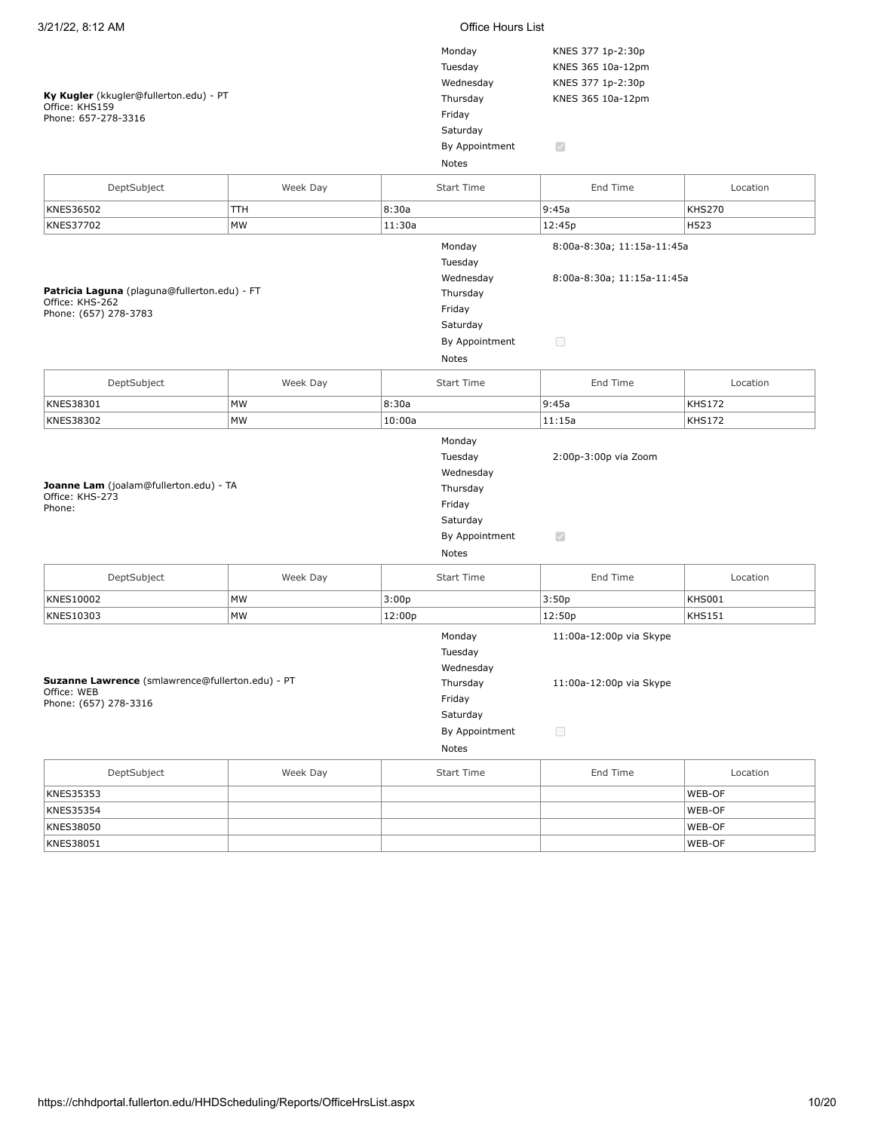| 3/21/22, 8:12 AM                                 |           |        | Office Hours List |                            |               |  |
|--------------------------------------------------|-----------|--------|-------------------|----------------------------|---------------|--|
|                                                  |           |        | Monday            | KNES 377 1p-2:30p          |               |  |
|                                                  |           |        | Tuesday           | KNES 365 10a-12pm          |               |  |
|                                                  |           |        | Wednesday         | KNES 377 1p-2:30p          |               |  |
| Ky Kugler (kkugler@fullerton.edu) - PT           |           |        |                   |                            |               |  |
| Office: KHS159                                   |           |        | Thursday          | KNES 365 10a-12pm          |               |  |
| Phone: 657-278-3316                              |           |        | Friday            |                            |               |  |
|                                                  |           |        | Saturday          |                            |               |  |
|                                                  |           |        | By Appointment    | $\blacktriangledown$       |               |  |
|                                                  |           |        | Notes             |                            |               |  |
| DeptSubject                                      | Week Day  |        | <b>Start Time</b> | End Time                   | Location      |  |
| KNES36502                                        | TТH       | 8:30a  |                   | 9:45a                      | <b>KHS270</b> |  |
| KNES37702                                        | MW        | 11:30a |                   | 12:45p                     | H523          |  |
|                                                  |           |        | Monday            | 8:00a-8:30a; 11:15a-11:45a |               |  |
|                                                  |           |        | Tuesday           |                            |               |  |
|                                                  |           |        | Wednesday         | 8:00a-8:30a; 11:15a-11:45a |               |  |
| Patricia Laguna (plaguna@fullerton.edu) - FT     |           |        | Thursday          |                            |               |  |
| Office: KHS-262                                  |           |        | Friday            |                            |               |  |
| Phone: (657) 278-3783                            |           |        | Saturday          |                            |               |  |
|                                                  |           |        | By Appointment    | $\Box$                     |               |  |
|                                                  |           |        |                   |                            |               |  |
|                                                  |           |        | Notes             |                            |               |  |
| DeptSubject                                      | Week Day  |        | <b>Start Time</b> | End Time                   | Location      |  |
| KNES38301                                        | <b>MW</b> | 8:30a  |                   | 9:45a                      | <b>KHS172</b> |  |
| KNES38302                                        | <b>MW</b> | 10:00a |                   | 11:15a                     | <b>KHS172</b> |  |
|                                                  |           |        | Monday            |                            |               |  |
|                                                  |           |        | Tuesday           | 2:00p-3:00p via Zoom       |               |  |
|                                                  |           |        | Wednesday         |                            |               |  |
| Joanne Lam (joalam@fullerton.edu) - TA           |           |        | Thursday          |                            |               |  |
|                                                  |           |        |                   |                            |               |  |
| Office: KHS-273                                  |           |        |                   |                            |               |  |
| Phone:                                           |           |        | Friday            |                            |               |  |
|                                                  |           |        | Saturday          |                            |               |  |
|                                                  |           |        | By Appointment    | $\bigtriangledown$         |               |  |
|                                                  |           |        | Notes             |                            |               |  |
| DeptSubject                                      | Week Day  |        | <b>Start Time</b> | End Time                   | Location      |  |
| KNES10002                                        | MW        | 3:00p  |                   | 3:50p                      | <b>KHS001</b> |  |
| KNES10303                                        | MW        | 12:00p |                   | 12:50p                     | <b>KHS151</b> |  |
|                                                  |           |        | Monday            | 11:00a-12:00p via Skype    |               |  |
|                                                  |           |        | Tuesday           |                            |               |  |
|                                                  |           |        | Wednesday         |                            |               |  |
| Suzanne Lawrence (smlawrence@fullerton.edu) - PT |           |        |                   |                            |               |  |
| Office: WEB                                      |           |        | Thursday          | 11:00a-12:00p via Skype    |               |  |
| Phone: (657) 278-3316                            |           |        | Friday            |                            |               |  |
|                                                  |           |        | Saturday          |                            |               |  |
|                                                  |           |        | By Appointment    | $\Box$                     |               |  |
|                                                  |           |        | Notes             |                            |               |  |
| DeptSubject                                      | Week Day  |        | <b>Start Time</b> | End Time                   | Location      |  |
| KNES35353                                        |           |        |                   |                            | WEB-OF        |  |
| <b>KNES35354</b>                                 |           |        |                   |                            | WEB-OF        |  |
| KNES38050                                        |           |        |                   |                            | WEB-OF        |  |
| KNES38051                                        |           |        |                   |                            | WEB-OF        |  |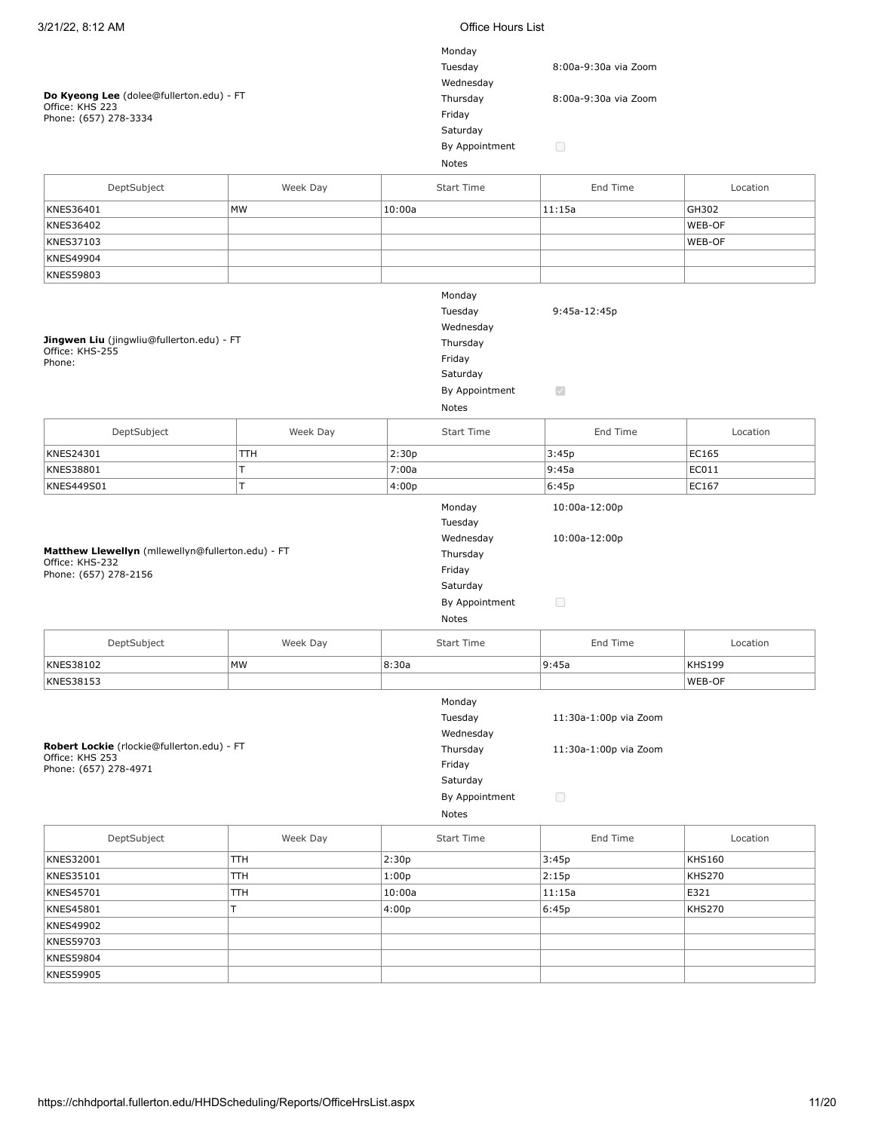| 3/21/22, 8:12 AM                                                                              |          | Office Hours List |                                                                                                    |                                                          |               |  |  |
|-----------------------------------------------------------------------------------------------|----------|-------------------|----------------------------------------------------------------------------------------------------|----------------------------------------------------------|---------------|--|--|
| Do Kyeong Lee (dolee@fullerton.edu) - FT<br>Office: KHS 223<br>Phone: (657) 278-3334          |          |                   | Monday<br>Tuesday<br>Wednesday<br>Thursday<br>Friday<br>Saturday<br>By Appointment                 | 8:00a-9:30a via Zoom<br>8:00a-9:30a via Zoom<br>$\Box$   |               |  |  |
|                                                                                               |          |                   | Notes                                                                                              |                                                          |               |  |  |
| DeptSubject                                                                                   | Week Day |                   | <b>Start Time</b>                                                                                  | End Time                                                 | Location      |  |  |
| KNES36401                                                                                     | MW       | 10:00a            |                                                                                                    | 11:15a                                                   | GH302         |  |  |
| KNES36402                                                                                     |          |                   |                                                                                                    |                                                          | WEB-OF        |  |  |
| KNES37103                                                                                     |          |                   |                                                                                                    |                                                          | WEB-OF        |  |  |
| KNES49904                                                                                     |          |                   |                                                                                                    |                                                          |               |  |  |
| KNES59803                                                                                     |          |                   |                                                                                                    |                                                          |               |  |  |
| Jingwen Liu (jingwliu@fullerton.edu) - FT<br>Office: KHS-255<br>Phone:                        |          |                   | Monday<br>Tuesday<br>Wednesday<br>Thursday<br>Friday<br>Saturday<br>By Appointment<br>Notes        | 9:45a-12:45p<br>$\bigtriangledown$                       |               |  |  |
| DeptSubject                                                                                   | Week Day |                   | Start Time                                                                                         | End Time                                                 | Location      |  |  |
| KNES24301                                                                                     | TТH      | 2:30p             |                                                                                                    | 3:45p                                                    | EC165         |  |  |
| KNES38801                                                                                     | T        | 7:00a             |                                                                                                    | 9:45a                                                    | EC011         |  |  |
| KNES449S01                                                                                    | T.       | 4:00p             |                                                                                                    | 6:45p                                                    | EC167         |  |  |
| Matthew Llewellyn (mllewellyn@fullerton.edu) - FT<br>Office: KHS-232<br>Phone: (657) 278-2156 |          |                   | Monday<br>Tuesday<br>Wednesday<br>Thursday<br>Friday<br>Saturday<br>By Appointment<br><b>Notes</b> | 10:00a-12:00p<br>10:00a-12:00p<br>$\Box$                 |               |  |  |
| DeptSubject                                                                                   | Week Day |                   | <b>Start Time</b>                                                                                  | End Time                                                 | Location      |  |  |
| KNES38102                                                                                     | МW       | 8:30a             |                                                                                                    | 9:45a                                                    | KHS199        |  |  |
| KNES38153                                                                                     |          |                   |                                                                                                    |                                                          | WEB-OF        |  |  |
| Robert Lockie (rlockie@fullerton.edu) - FT<br>Office: KHS 253<br>Phone: (657) 278-4971        |          |                   | Monday<br>Tuesday<br>Wednesday<br>Thursday<br>Friday<br>Saturday<br>By Appointment<br>Notes        | 11:30a-1:00p via Zoom<br>11:30a-1:00p via Zoom<br>$\Box$ |               |  |  |
| DeptSubject                                                                                   | Week Day |                   | <b>Start Time</b>                                                                                  | End Time                                                 | Location      |  |  |
| KNES32001                                                                                     | TTH      | 2:30p             |                                                                                                    | 3:45p                                                    | <b>KHS160</b> |  |  |
| KNES35101                                                                                     | TTH      | 1:00p             |                                                                                                    | 2:15p                                                    | <b>KHS270</b> |  |  |
| KNES45701                                                                                     | TTH      | 10:00a            |                                                                                                    | 11:15a                                                   | E321          |  |  |
| KNES45801                                                                                     | T.       | 4:00p             |                                                                                                    | 6:45p                                                    | <b>KHS270</b> |  |  |
| KNES49902                                                                                     |          |                   |                                                                                                    |                                                          |               |  |  |
| KNES59703                                                                                     |          |                   |                                                                                                    |                                                          |               |  |  |
| <b>KNES59804</b>                                                                              |          |                   |                                                                                                    |                                                          |               |  |  |
| KNES59905                                                                                     |          |                   |                                                                                                    |                                                          |               |  |  |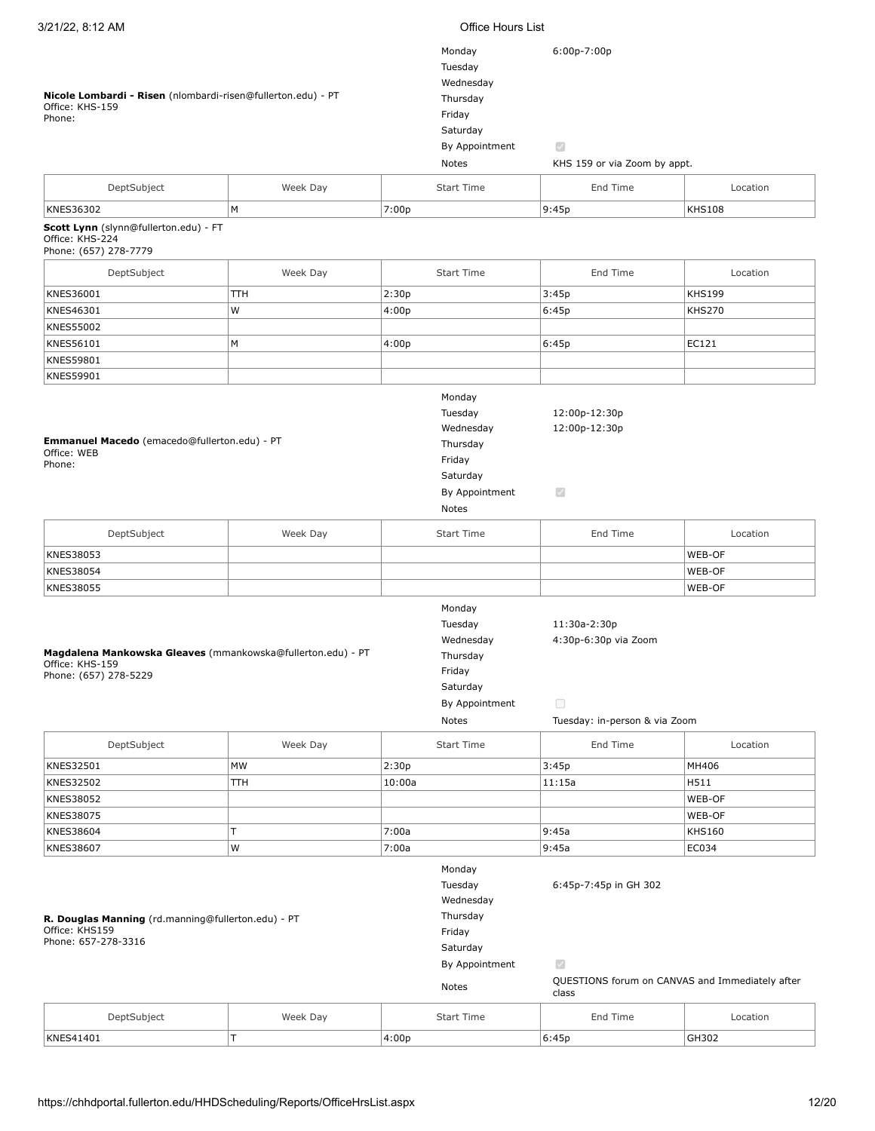| 3/21/22, 8:12 AM                                                                                        |           |                                      | Office Hours List                                                                           |                                                                                 |                                                 |  |  |
|---------------------------------------------------------------------------------------------------------|-----------|--------------------------------------|---------------------------------------------------------------------------------------------|---------------------------------------------------------------------------------|-------------------------------------------------|--|--|
| Nicole Lombardi - Risen (nlombardi-risen@fullerton.edu) - PT<br>Office: KHS-159<br>Phone:               |           |                                      | Monday<br>Tuesday<br>Wednesday<br>Thursday<br>Friday<br>Saturday<br>By Appointment<br>Notes | 6:00p-7:00p<br>$\mathcal{S}$<br>KHS 159 or via Zoom by appt.                    |                                                 |  |  |
| DeptSubject                                                                                             | Week Day  |                                      | <b>Start Time</b>                                                                           | End Time                                                                        | Location                                        |  |  |
| KNES36302                                                                                               | M         | 7:00p                                |                                                                                             | 9:45p                                                                           | <b>KHS108</b>                                   |  |  |
| Scott Lynn (slynn@fullerton.edu) - FT<br>Office: KHS-224<br>Phone: (657) 278-7779                       |           |                                      |                                                                                             |                                                                                 |                                                 |  |  |
| DeptSubject                                                                                             | Week Day  |                                      | <b>Start Time</b>                                                                           | End Time                                                                        | Location                                        |  |  |
| KNES36001                                                                                               | TTH       | 2:30p                                |                                                                                             | 3:45p                                                                           | <b>KHS199</b>                                   |  |  |
| KNES46301                                                                                               | W         | 4:00p                                |                                                                                             | 6:45p                                                                           | <b>KHS270</b>                                   |  |  |
| KNES55002                                                                                               |           |                                      |                                                                                             |                                                                                 |                                                 |  |  |
| KNES56101                                                                                               | M         | 4:00p                                |                                                                                             | 6:45p                                                                           | EC121                                           |  |  |
| KNES59801                                                                                               |           |                                      |                                                                                             |                                                                                 |                                                 |  |  |
| KNES59901                                                                                               |           |                                      |                                                                                             |                                                                                 |                                                 |  |  |
| Emmanuel Macedo (emacedo@fullerton.edu) - PT<br>Office: WEB<br>Phone:                                   |           | Monday<br>Tuesday<br>Friday<br>Notes | Wednesday<br>Thursday<br>Saturday<br>By Appointment                                         | 12:00p-12:30p<br>12:00p-12:30p<br>$\overline{\mathcal{S}}$                      |                                                 |  |  |
| DeptSubject                                                                                             | Week Day  |                                      | <b>Start Time</b>                                                                           | End Time                                                                        | Location                                        |  |  |
| KNES38053                                                                                               |           |                                      |                                                                                             |                                                                                 | WEB-OF                                          |  |  |
| KNES38054                                                                                               |           |                                      |                                                                                             |                                                                                 | WEB-OF                                          |  |  |
| <b>KNES38055</b>                                                                                        |           |                                      |                                                                                             |                                                                                 | WEB-OF                                          |  |  |
| Magdalena Mankowska Gleaves (mmankowska@fullerton.edu) - PT<br>Office: KHS-159<br>Phone: (657) 278-5229 |           | Monday<br>Tuesday<br>Friday<br>Notes | Wednesday<br>Thursday<br>Saturday<br>By Appointment                                         | 11:30a-2:30p<br>4:30p-6:30p via Zoom<br>$\Box$<br>Tuesday: in-person & via Zoom |                                                 |  |  |
| DeptSubject                                                                                             | Week Day  |                                      | <b>Start Time</b>                                                                           | End Time                                                                        | Location                                        |  |  |
|                                                                                                         |           |                                      |                                                                                             |                                                                                 |                                                 |  |  |
| KNES32501<br>KNES32502                                                                                  | MW<br>TTH | 2:30p<br>10:00a                      |                                                                                             | 3:45p<br>11:15a                                                                 | MH406<br>H511                                   |  |  |
|                                                                                                         |           |                                      |                                                                                             |                                                                                 |                                                 |  |  |
| KNES38052                                                                                               |           |                                      |                                                                                             |                                                                                 | WEB-OF                                          |  |  |
| KNES38075                                                                                               | T         |                                      |                                                                                             |                                                                                 | WEB-OF                                          |  |  |
| KNES38604<br>KNES38607                                                                                  | W         | 7:00a<br>7:00a                       |                                                                                             | 9:45a<br>9:45a                                                                  | KHS160<br>EC034                                 |  |  |
| R. Douglas Manning (rd.manning@fullerton.edu) - PT<br>Office: KHS159<br>Phone: 657-278-3316             |           | Monday<br>Tuesday<br>Friday          | Wednesday<br>Thursday<br>Saturday<br>By Appointment                                         | 6:45p-7:45p in GH 302<br>$\mathcal{S}$                                          | QUESTIONS forum on CANVAS and Immediately after |  |  |
|                                                                                                         |           | Notes                                |                                                                                             | class                                                                           |                                                 |  |  |
| DeptSubject                                                                                             | Week Day  |                                      | <b>Start Time</b>                                                                           | End Time                                                                        | Location                                        |  |  |
| <b>KNFS41401</b>                                                                                        | T         | 4:00n                                |                                                                                             | 6:45n                                                                           | GH302                                           |  |  |

KNES41401 T 4:00p 6:45p GH302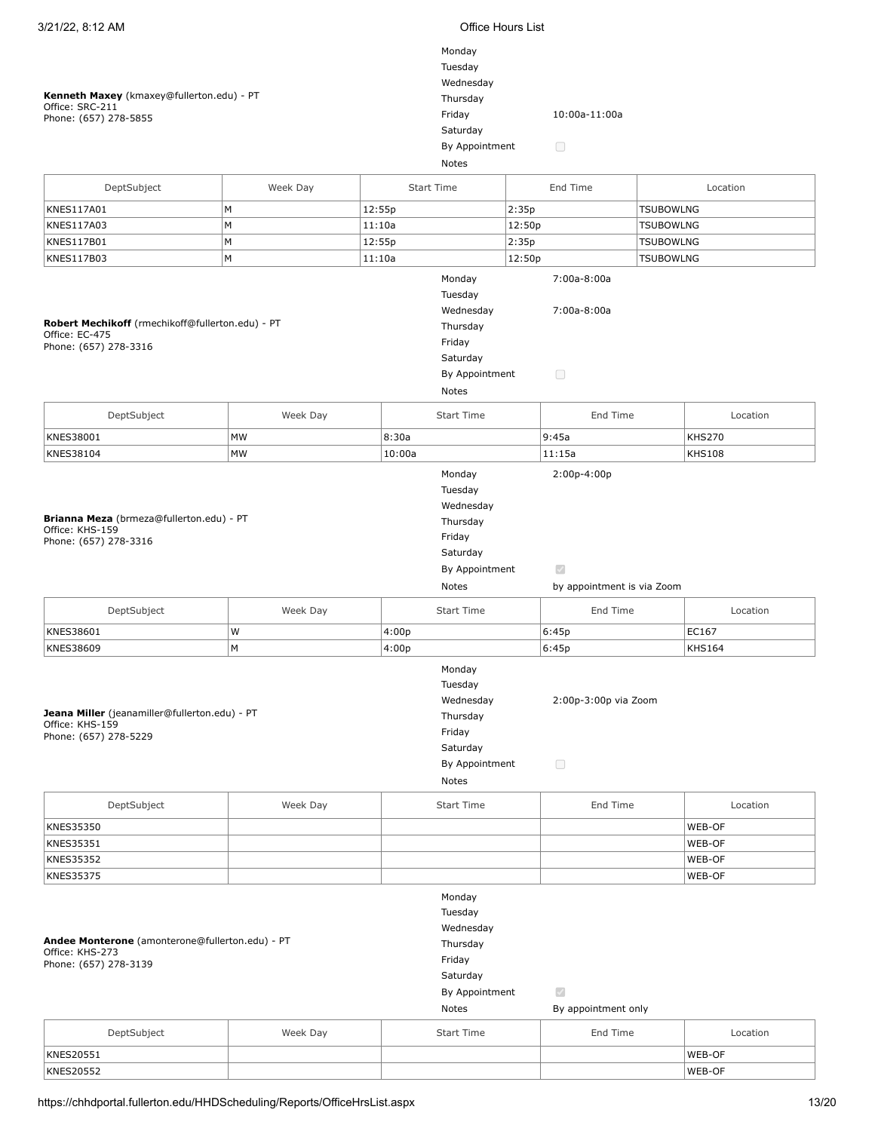| 3/21/22, 8:12 AM                                                                                       |          | <b>Office Hours List</b>                                                                             |        |                                                 |                  |                                |
|--------------------------------------------------------------------------------------------------------|----------|------------------------------------------------------------------------------------------------------|--------|-------------------------------------------------|------------------|--------------------------------|
| Kenneth Maxey (kmaxey@fullerton.edu) - PT<br>Office: SRC-211                                           |          | Monday<br>Tuesday<br>Wednesday<br>Thursday<br>Friday                                                 |        | 10:00a-11:00a                                   |                  |                                |
| Phone: (657) 278-5855                                                                                  |          | Saturday                                                                                             |        |                                                 |                  |                                |
|                                                                                                        |          | By Appointment                                                                                       |        | $\Box$                                          |                  |                                |
|                                                                                                        |          | Notes                                                                                                |        |                                                 |                  |                                |
|                                                                                                        |          |                                                                                                      |        |                                                 |                  |                                |
| DeptSubject                                                                                            | Week Day | <b>Start Time</b>                                                                                    |        | End Time                                        |                  | Location                       |
| <b>KNES117A01</b>                                                                                      | M        | 12:55p                                                                                               | 2:35p  |                                                 | <b>TSUBOWLNG</b> |                                |
| KNES117A03                                                                                             | М        | 11:10a                                                                                               | 12:50p |                                                 | <b>TSUBOWLNG</b> |                                |
| KNES117B01                                                                                             | M        | 12:55p                                                                                               | 2:35p  |                                                 | <b>TSUBOWLNG</b> |                                |
| KNES117B03                                                                                             | M        | 11:10a                                                                                               | 12:50p |                                                 | <b>TSUBOWLNG</b> |                                |
| Robert Mechikoff (rmechikoff@fullerton.edu) - PT<br>Office: EC-475<br>Phone: (657) 278-3316            |          | Monday<br>Tuesday<br>Wednesday<br>Thursday<br>Friday<br>Saturday<br>By Appointment<br>Notes          |        | 7:00a-8:00a<br>7:00a-8:00a<br>$\Box$            |                  |                                |
| DeptSubject                                                                                            | Week Day | <b>Start Time</b>                                                                                    |        | End Time                                        |                  | Location                       |
|                                                                                                        |          |                                                                                                      |        |                                                 |                  |                                |
| KNES38001<br>KNES38104                                                                                 | MW<br>MW | 8:30a<br>10:00a                                                                                      | 9:45a  | 11:15a                                          |                  | <b>KHS270</b><br><b>KHS108</b> |
| Brianna Meza (brmeza@fullerton.edu) - PT<br>Office: KHS-159<br>Phone: (657) 278-3316                   |          | Tuesday<br>Wednesday<br>Thursday<br>Friday<br>Saturday<br>By Appointment<br>Notes                    |        | $\mathcal{A}$<br>by appointment is via Zoom     |                  |                                |
| DeptSubject                                                                                            | Week Day | <b>Start Time</b>                                                                                    |        | End Time                                        |                  | Location                       |
| KNES38601                                                                                              | W        | 4:00p                                                                                                | 6:45p  |                                                 |                  | EC167                          |
| KNES38609<br>Jeana Miller (jeanamiller@fullerton.edu) - PT<br>Office: KHS-159<br>Phone: (657) 278-5229 | M        | 4:00p<br>Monday<br>Tuesday<br>Wednesday<br>Thursday<br>Friday<br>Saturday<br>By Appointment<br>Notes | 6:45p  | 2:00p-3:00p via Zoom<br>$\Box$                  |                  | <b>KHS164</b>                  |
| DeptSubject                                                                                            | Week Day | <b>Start Time</b>                                                                                    |        | End Time                                        |                  | Location                       |
| KNES35350                                                                                              |          |                                                                                                      |        |                                                 |                  | WEB-OF                         |
| KNES35351                                                                                              |          |                                                                                                      |        |                                                 |                  | WEB-OF                         |
| KNES35352                                                                                              |          |                                                                                                      |        |                                                 |                  | WEB-OF                         |
| KNES35375                                                                                              |          |                                                                                                      |        |                                                 |                  | WEB-OF                         |
| Andee Monterone (amonterone@fullerton.edu) - PT<br>Office: KHS-273<br>Phone: (657) 278-3139            |          | Monday<br>Tuesday<br>Wednesday<br>Thursday<br>Friday<br>Saturday<br>By Appointment<br>Notes          |        | $\overline{\mathcal{S}}$<br>By appointment only |                  |                                |
| DeptSubject                                                                                            | Week Day | <b>Start Time</b>                                                                                    |        | End Time                                        |                  | Location                       |
| KNES20551                                                                                              |          |                                                                                                      |        |                                                 |                  | WEB-OF                         |
| <b>KNES20552</b>                                                                                       |          |                                                                                                      |        |                                                 |                  | WEB-OF                         |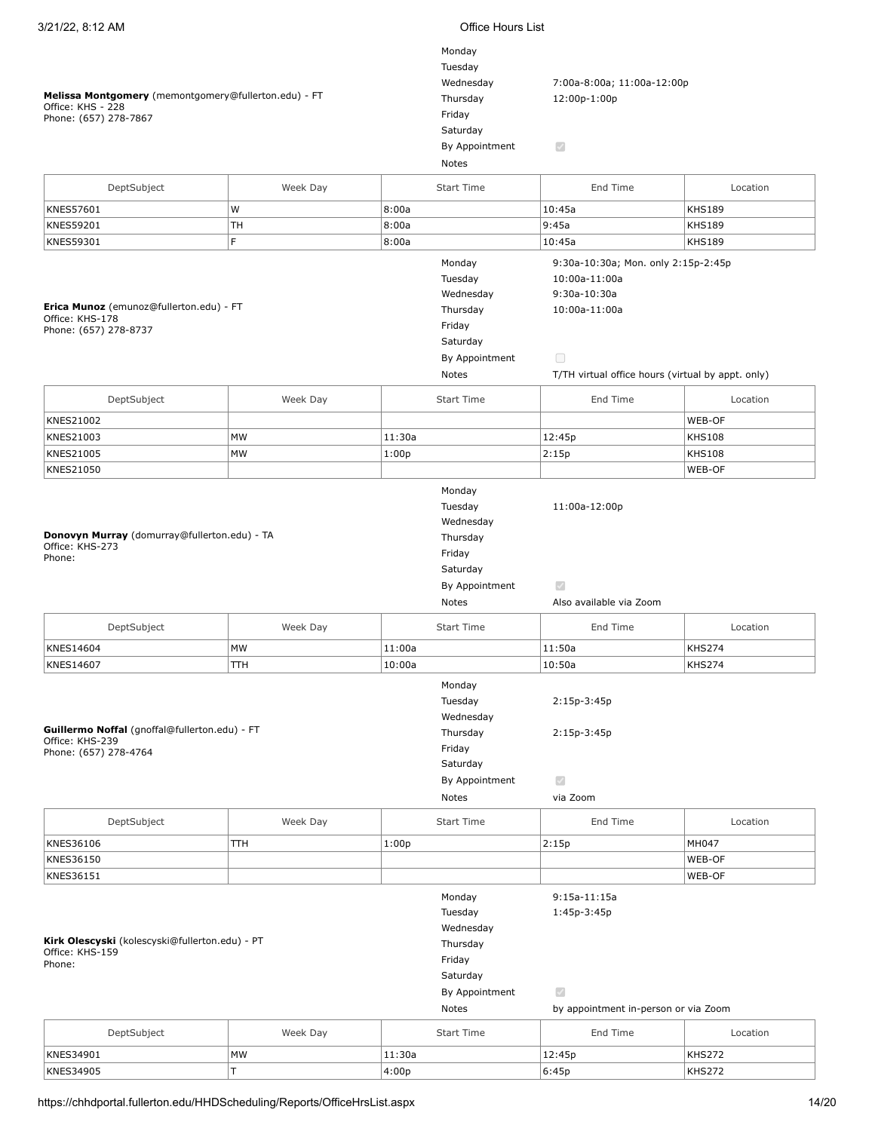| Melissa Montgomery (memontgomery@fullerton.edu) - FT<br>Office: KHS - 228<br>Phone: (657) 278-7867 | Monday<br>Tuesday<br>Wednesday<br>Thursday<br>Friday<br>Saturday<br>By Appointment<br>Notes | 7:00a-8:00a; 11:00a-12:00p<br>12:00p-1:00p<br>$\mathcal{L}$                                 |                                                                                                                                                      |                                |
|----------------------------------------------------------------------------------------------------|---------------------------------------------------------------------------------------------|---------------------------------------------------------------------------------------------|------------------------------------------------------------------------------------------------------------------------------------------------------|--------------------------------|
| DeptSubject                                                                                        | Week Day                                                                                    | <b>Start Time</b>                                                                           | End Time                                                                                                                                             | Location                       |
| KNES57601                                                                                          | W                                                                                           | 8:00a                                                                                       | 10:45a                                                                                                                                               | <b>KHS189</b>                  |
| KNES59201                                                                                          | TН                                                                                          | 8:00a                                                                                       | 9:45a                                                                                                                                                | <b>KHS189</b>                  |
| KNES59301                                                                                          | F.                                                                                          | 8:00a                                                                                       | 10:45a                                                                                                                                               | <b>KHS189</b>                  |
| Erica Munoz (emunoz@fullerton.edu) - FT<br>Office: KHS-178<br>Phone: (657) 278-8737                |                                                                                             | Monday<br>Tuesday<br>Wednesday<br>Thursday<br>Friday<br>Saturday<br>By Appointment<br>Notes | 9:30a-10:30a; Mon. only 2:15p-2:45p<br>10:00a-11:00a<br>9:30a-10:30a<br>10:00a-11:00a<br>$\Box$<br>T/TH virtual office hours (virtual by appt. only) |                                |
| DeptSubject                                                                                        | Week Day                                                                                    | <b>Start Time</b>                                                                           | End Time                                                                                                                                             | Location                       |
|                                                                                                    |                                                                                             |                                                                                             |                                                                                                                                                      |                                |
| KNES21002                                                                                          |                                                                                             |                                                                                             |                                                                                                                                                      | WEB-OF                         |
| KNES21003<br><b>KNES21005</b>                                                                      | <b>MW</b><br>MW                                                                             | 11:30a                                                                                      | 12:45p                                                                                                                                               | <b>KHS108</b><br><b>KHS108</b> |
| KNES21050                                                                                          |                                                                                             | 1:00p                                                                                       | 2:15p                                                                                                                                                | WEB-OF                         |
| Donovyn Murray (domurray@fullerton.edu) - TA<br>Office: KHS-273<br>Phone:                          |                                                                                             | Thursday<br>Friday<br>Saturday<br>By Appointment<br>Notes                                   | $\mathcal{S}$<br>Also available via Zoom                                                                                                             |                                |
| DeptSubject                                                                                        | Week Day                                                                                    | <b>Start Time</b>                                                                           | End Time                                                                                                                                             | Location                       |
| <b>KNES14604</b>                                                                                   | MW                                                                                          | 11:00a                                                                                      | 11:50a                                                                                                                                               | <b>KHS274</b>                  |
| KNES14607                                                                                          | TTH                                                                                         | 10:00a                                                                                      | 10:50a                                                                                                                                               | <b>KHS274</b>                  |
| Guillermo Noffal (gnoffal@fullerton.edu) - FT<br>Office: KHS-239<br>Phone: (657) 278-4764          |                                                                                             | Monday<br>Tuesday<br>Wednesday<br>Thursday<br>Friday<br>Saturday<br>By Appointment<br>Notes | 2:15p-3:45p<br>2:15p-3:45p<br>$\mathcal{S}$<br>via Zoom                                                                                              |                                |
| DeptSubject                                                                                        | Week Day                                                                                    | <b>Start Time</b>                                                                           | End Time                                                                                                                                             | Location                       |
| KNES36106                                                                                          | TTH                                                                                         | 1:00p                                                                                       | 2:15p                                                                                                                                                | MH047                          |
| KNES36150                                                                                          |                                                                                             |                                                                                             |                                                                                                                                                      | WEB-OF                         |
| KNES36151                                                                                          |                                                                                             |                                                                                             |                                                                                                                                                      | WEB-OF                         |
| Kirk Olescyski (kolescyski@fullerton.edu) - PT<br>Office: KHS-159<br>Phone:                        |                                                                                             | Monday<br>Tuesday<br>Wednesday<br>Thursday<br>Friday<br>Saturday<br>By Appointment<br>Notes | $9:15a-11:15a$<br>1:45p-3:45p<br>$\checkmark$<br>by appointment in-person or via Zoom                                                                |                                |
| DeptSubject                                                                                        | Week Day                                                                                    | <b>Start Time</b>                                                                           | End Time                                                                                                                                             | Location                       |
| KNES34901                                                                                          | MW                                                                                          | 11:30a                                                                                      | 12:45p                                                                                                                                               | <b>KHS272</b>                  |
| KNES34905                                                                                          | T                                                                                           | 4:00p                                                                                       | 6:45p                                                                                                                                                | <b>KHS272</b>                  |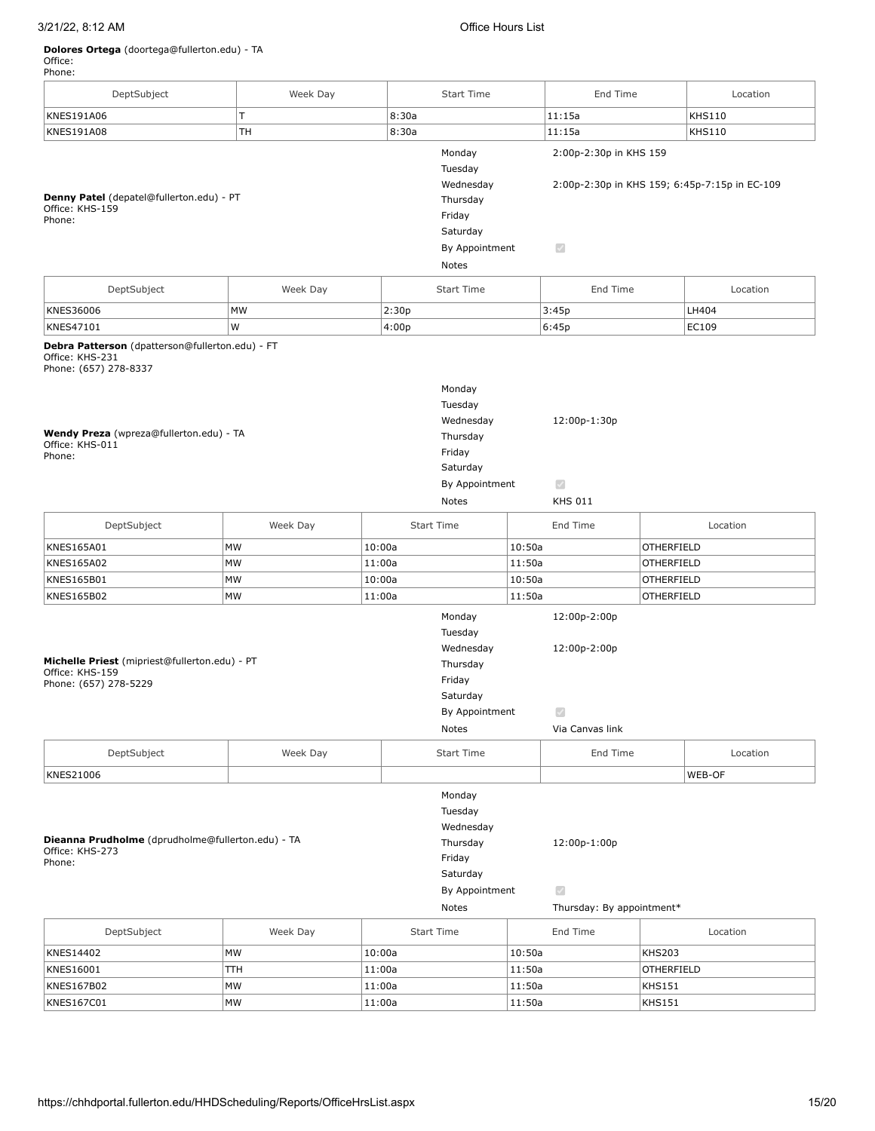## 3/21/22, 8:12 AM Office Hours List

## **Dolores Ortega** (doortega@fullerton.edu) - TA

Office: Phone:

DeptSubject Week Day Start Time End Time Location KNES191A06 T 8:30a 11:15a KHS110 KNES191A08 TH 8:30a 11:15a KHS110 Monday 2:00p-2:30p in KHS 159 Tuesday Wednesday 2:00p-2:30p in KHS 159; 6:45p-7:15p in EC-109 **Denny Patel** (depatel@fullerton.edu) - PT Thursday Office: KHS-159 Friday Phone: Saturday By Appointment  $\overline{\mathcal{S}}$ Notes DeptSubject  $\vert$  Week Day  $\vert$  Start Time  $\vert$  End Time  $\vert$  Location KNES36006 MW 2:30p 3:45p LH404 KNES47101 W 4:00p 6:45p EC109 **Debra Patterson** (dpatterson@fullerton.edu) - FT Office: KHS-231 Phone: (657) 278-8337 Monday Tuesday Wednesday 12:00p-1:30p **Wendy Preza** (wpreza@fullerton.edu) - TA Thursday Office: KHS-011 Friday Phone: Saturday By Appointment  $\overline{\mathscr{L}}$ Notes KHS 011 DeptSubject Week Day Start Time End Time Location KNES165A01 MW 10:00a 10:50a OTHERFIELD KNES165A02 MW 11:00a 11:50a OTHERFIELD KNES165B01 MW 10:00a 10:50a OTHERFIELD KNES165B02 MW 11:00a 11:50a OTHERFIELD Monday 12:00p-2:00p Tuesday Wednesday 12:00p-2:00p **Michelle Priest** (mipriest@fullerton.edu) - PT Thursday Office: KHS-159 Friday Phone: (657) 278-5229 Saturday By Appointment  $\overline{\mathcal{L}}$ Notes Via Canvas link DeptSubject Week Day Start Time End Time Location KNES21006 WEB-OF Monday Tuesday Wednesday **Dieanna Prudholme** (dprudholme@fullerton.edu) - TA Thursday 12:00p-1:00p Office: KHS-273 Friday Phone: **Saturday** By Appointment  $\overline{\mathcal{S}}$ Notes Thursday: By appointment\* DeptSubject Week Day Start Time End Time Location KNES14402 |MW |10:00a |10:50a |KHS203 KNES16001 TTH 11:00a 11:50a OTHERFIELD KNES167B02 |MW |11:00a |11:50a |KHS151

KNES167C01 |MW |11:00a |11:50a |KHS151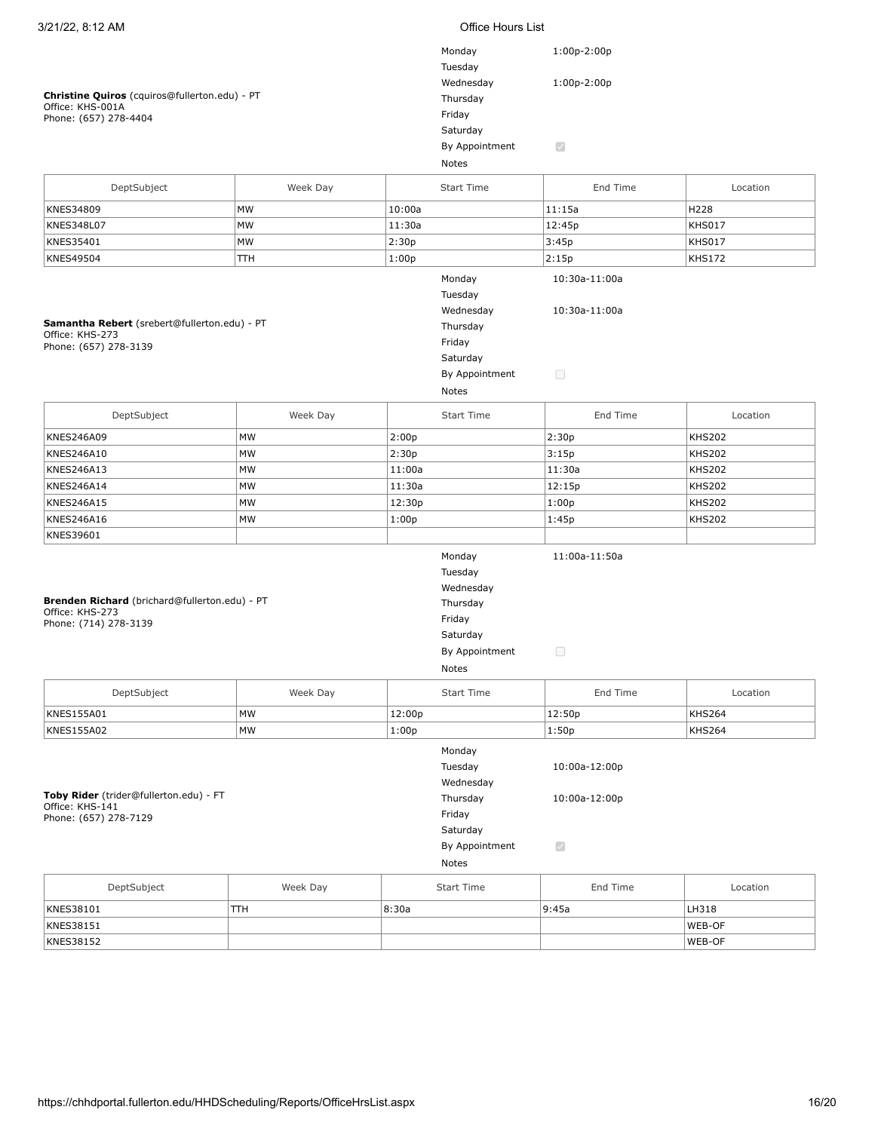| 3/21/22, 8:12 AM                                                                           |          |        | <b>Office Hours List</b>                                                                    |                                                            |               |
|--------------------------------------------------------------------------------------------|----------|--------|---------------------------------------------------------------------------------------------|------------------------------------------------------------|---------------|
| Christine Quiros (cquiros@fullerton.edu) - PT<br>Office: KHS-001A<br>Phone: (657) 278-4404 |          |        | Monday<br>Tuesday<br>Wednesday<br>Thursday<br>Friday<br>Saturday<br>By Appointment          | $1:00p-2:00p$<br>$1:00p-2:00p$<br>$\overline{\mathscr{S}}$ |               |
|                                                                                            |          |        | Notes                                                                                       |                                                            |               |
| DeptSubject                                                                                | Week Day |        | Start Time                                                                                  | End Time                                                   | Location      |
| KNES34809                                                                                  | MW       | 10:00a |                                                                                             | 11:15a                                                     | H228          |
| KNES348L07                                                                                 | MW       | 11:30a |                                                                                             | 12:45p                                                     | <b>KHS017</b> |
| KNES35401                                                                                  | MW       | 2:30p  |                                                                                             | 3:45p                                                      | <b>KHS017</b> |
| KNES49504                                                                                  | TTH      | 1:00p  |                                                                                             | 2:15p                                                      | <b>KHS172</b> |
| Samantha Rebert (srebert@fullerton.edu) - PT<br>Office: KHS-273<br>Phone: (657) 278-3139   |          |        | Monday<br>Tuesday<br>Wednesday<br>Thursday<br>Friday<br>Saturday<br>By Appointment<br>Notes | 10:30a-11:00a<br>10:30a-11:00a<br>$\Box$                   |               |
| DeptSubject                                                                                | Week Day |        | <b>Start Time</b>                                                                           | End Time                                                   | Location      |
| KNES246A09                                                                                 | MW       | 2:00p  |                                                                                             | 2:30p                                                      | <b>KHS202</b> |
| KNES246A10                                                                                 | MW       | 2:30p  |                                                                                             | 3:15p                                                      | <b>KHS202</b> |
| KNES246A13                                                                                 | MW       | 11:00a |                                                                                             | 11:30a                                                     | <b>KHS202</b> |
| <b>KNES246A14</b>                                                                          | MW       | 11:30a |                                                                                             | 12:15p                                                     | <b>KHS202</b> |
| <b>KNES246A15</b>                                                                          | MW       | 12:30p |                                                                                             | 1:00p                                                      | <b>KHS202</b> |
| KNES246A16                                                                                 | MW       | 1:00p  |                                                                                             | 1:45p                                                      | <b>KHS202</b> |
| KNES39601                                                                                  |          |        |                                                                                             |                                                            |               |
| Brenden Richard (brichard@fullerton.edu) - PT<br>Office: KHS-273<br>Phone: (714) 278-3139  |          |        | Monday<br>Tuesday<br>Wednesday<br>Thursday<br>Friday<br>Saturday<br>By Appointment<br>Notes | 11:00a-11:50a<br>$\Box$                                    |               |
| DeptSubject                                                                                | Week Day |        | Start Time                                                                                  | End Time                                                   | Location      |
| KNES155A01                                                                                 | MW       | 12:00p |                                                                                             | 12:50p                                                     | <b>KHS264</b> |
| KNES155A02                                                                                 | MW       | 1:00p  |                                                                                             | 1:50p                                                      | KHS264        |
| Toby Rider (trider@fullerton.edu) - FT<br>Office: KHS-141<br>Phone: (657) 278-7129         |          |        | Monday<br>Tuesday<br>Wednesday<br>Thursday<br>Friday<br>Saturday<br>By Appointment<br>Notes | 10:00a-12:00p<br>10:00a-12:00p<br>$\checkmark$             |               |
| DeptSubject                                                                                | Week Day |        | <b>Start Time</b>                                                                           | End Time                                                   | Location      |
| KNES38101                                                                                  | TTH      | 8:30a  |                                                                                             | 9:45a                                                      | LH318         |
| KNES38151                                                                                  |          |        |                                                                                             |                                                            | WEB-OF        |
| KNES38152                                                                                  |          |        |                                                                                             |                                                            | WEB-OF        |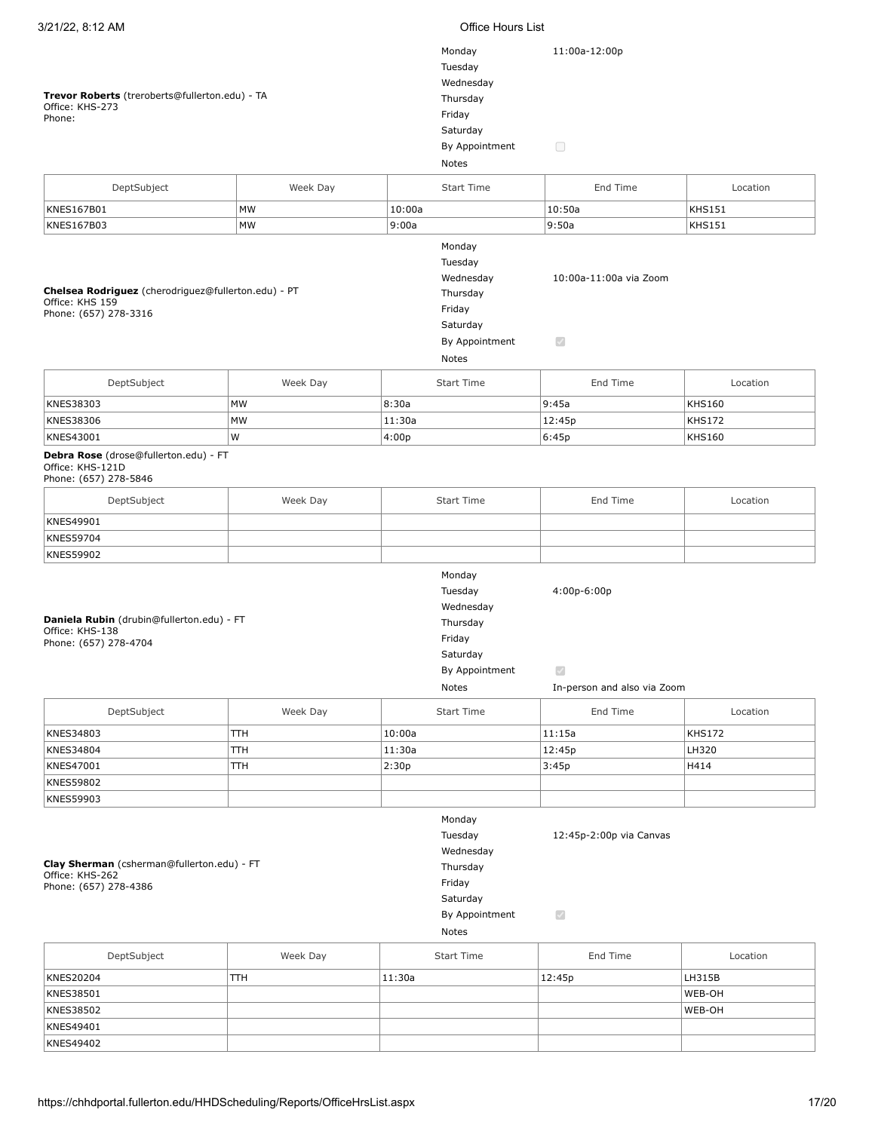| Trevor Roberts (treroberts@fullerton.edu) - TA<br>Office: KHS-273<br>Phone:<br>DeptSubject      | Week Day |        | Monday<br>Tuesday<br>Wednesday<br>Thursday<br>Friday<br>Saturday<br>By Appointment<br>Notes<br><b>Start Time</b> | 11:00a-12:00p<br>$\Box$<br>End Time                                | Location      |
|-------------------------------------------------------------------------------------------------|----------|--------|------------------------------------------------------------------------------------------------------------------|--------------------------------------------------------------------|---------------|
| <b>KNES167B01</b>                                                                               | MW       | 10:00a |                                                                                                                  | 10:50a                                                             | <b>KHS151</b> |
| KNES167B03                                                                                      | MW       | 9:00a  |                                                                                                                  | 9:50a                                                              | <b>KHS151</b> |
| Chelsea Rodriguez (cherodriguez@fullerton.edu) - PT<br>Office: KHS 159<br>Phone: (657) 278-3316 |          |        | Monday<br>Tuesday<br>Wednesday<br>Thursday<br>Friday<br>Saturday<br>By Appointment<br>Notes                      | 10:00a-11:00a via Zoom<br>$\bigtriangledown$                       |               |
| DeptSubject                                                                                     | Week Day |        | Start Time                                                                                                       | End Time                                                           | Location      |
| KNES38303                                                                                       | MW       | 8:30a  |                                                                                                                  | 9:45a                                                              | <b>KHS160</b> |
| KNES38306                                                                                       |          |        |                                                                                                                  |                                                                    |               |
| KNES43001                                                                                       | MW<br>W  | 11:30a |                                                                                                                  | 12:45p                                                             | <b>KHS172</b> |
| Debra Rose (drose@fullerton.edu) - FT<br>Office: KHS-121D<br>Phone: (657) 278-5846              |          | 4:00p  |                                                                                                                  | 6:45p                                                              | <b>KHS160</b> |
| DeptSubject                                                                                     | Week Day |        | Start Time                                                                                                       | End Time                                                           | Location      |
| KNES49901                                                                                       |          |        |                                                                                                                  |                                                                    |               |
| <b>KNES59704</b>                                                                                |          |        |                                                                                                                  |                                                                    |               |
| <b>KNES59902</b>                                                                                |          |        |                                                                                                                  |                                                                    |               |
| Daniela Rubin (drubin@fullerton.edu) - FT<br>Office: KHS-138<br>Phone: (657) 278-4704           |          |        | Monday<br>Tuesday<br>Wednesday<br>Thursday<br>Friday<br>Saturday<br>By Appointment<br>Notes                      | 4:00p-6:00p<br>$\blacktriangledown$<br>In-person and also via Zoom |               |
| DeptSubject                                                                                     | Week Day |        | <b>Start Time</b>                                                                                                | End Time                                                           | Location      |
| KNES34803                                                                                       | TTH      | 10:00a |                                                                                                                  | 11:15a                                                             | <b>KHS172</b> |
| KNES34804                                                                                       | TTH      | 11:30a |                                                                                                                  | 12:45p                                                             | LH320         |
| KNES47001                                                                                       | TTH      | 2:30p  |                                                                                                                  | 3:45p                                                              | H414          |
| <b>KNES59802</b>                                                                                |          |        |                                                                                                                  |                                                                    |               |
| KNES59903                                                                                       |          |        |                                                                                                                  |                                                                    |               |
| Clay Sherman (csherman@fullerton.edu) - FT<br>Office: KHS-262<br>Phone: (657) 278-4386          |          |        | Monday<br>Tuesday<br>Wednesday<br>Thursday<br>Friday<br>Saturday<br>By Appointment<br>Notes                      | 12:45p-2:00p via Canvas<br>$\checkmark$                            |               |
| DeptSubject                                                                                     | Week Day |        | <b>Start Time</b>                                                                                                | End Time                                                           | Location      |
|                                                                                                 |          |        |                                                                                                                  |                                                                    |               |
| <b>KNES20204</b>                                                                                | TTН      | 11:30a |                                                                                                                  | 12:45p                                                             | LH315B        |
| KNES38501                                                                                       |          |        |                                                                                                                  |                                                                    | WEB-OH        |
| KNES38502                                                                                       |          |        |                                                                                                                  |                                                                    | WEB-OH        |
| KNES49401                                                                                       |          |        |                                                                                                                  |                                                                    |               |
| KNES49402                                                                                       |          |        |                                                                                                                  |                                                                    |               |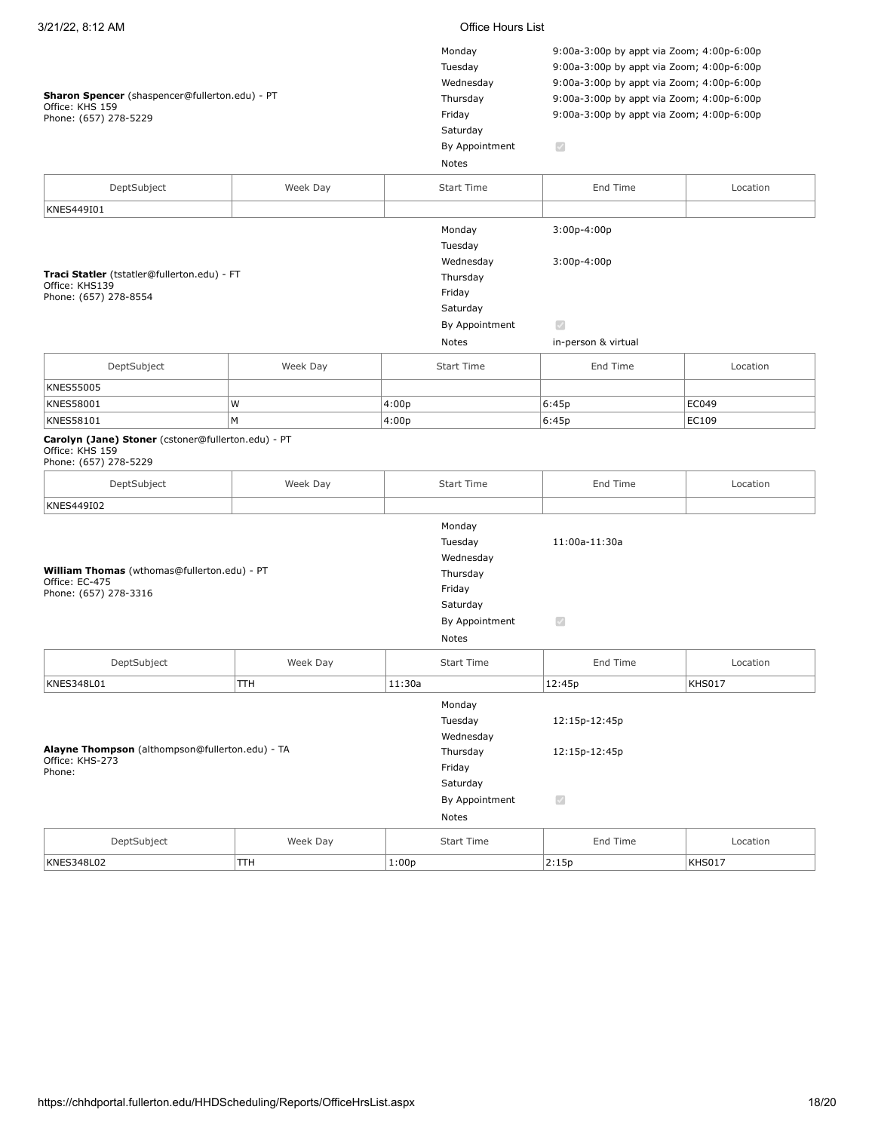## **Sharon Spencer** (shaspencer@fullerton.edu) - PT Office: KHS 159

| Sharon Spencer (shaspencer@fullerton.edu) - PT<br>Office: KHS 159<br>Phone: (657) 278-5229           |            |        | Monday<br>Tuesday<br>Wednesday<br>Thursday<br>Friday<br>Saturday<br>By Appointment<br>Notes | 9:00a-3:00p by appt via Zoom; 4:00p-6:00p<br>9:00a-3:00p by appt via Zoom; 4:00p-6:00p<br>9:00a-3:00p by appt via Zoom; 4:00p-6:00p<br>9:00a-3:00p by appt via Zoom; 4:00p-6:00p<br>9:00a-3:00p by appt via Zoom; 4:00p-6:00p<br>$\overline{\mathcal{A}}$ |               |
|------------------------------------------------------------------------------------------------------|------------|--------|---------------------------------------------------------------------------------------------|-----------------------------------------------------------------------------------------------------------------------------------------------------------------------------------------------------------------------------------------------------------|---------------|
| DeptSubject                                                                                          | Week Day   |        | <b>Start Time</b>                                                                           | End Time                                                                                                                                                                                                                                                  | Location      |
| KNES449I01                                                                                           |            |        |                                                                                             |                                                                                                                                                                                                                                                           |               |
| Traci Statler (tstatler@fullerton.edu) - FT<br>Office: KHS139<br>Phone: (657) 278-8554               |            |        | Monday<br>Tuesday<br>Wednesday<br>Thursday<br>Friday<br>Saturday<br>By Appointment<br>Notes | 3:00p-4:00p<br>$3:00p-4:00p$<br>$\mathcal{S}$<br>in-person & virtual                                                                                                                                                                                      |               |
| DeptSubject                                                                                          | Week Day   |        | <b>Start Time</b>                                                                           | End Time                                                                                                                                                                                                                                                  | Location      |
| <b>KNES55005</b>                                                                                     |            |        |                                                                                             |                                                                                                                                                                                                                                                           |               |
| <b>KNES58001</b>                                                                                     | W          | 4:00p  |                                                                                             | 6:45p                                                                                                                                                                                                                                                     | EC049         |
| KNES58101                                                                                            | M          | 4:00p  |                                                                                             | 6:45p                                                                                                                                                                                                                                                     | EC109         |
| Carolyn (Jane) Stoner (cstoner@fullerton.edu) - PT<br>Office: KHS 159<br>Phone: (657) 278-5229       |            |        |                                                                                             |                                                                                                                                                                                                                                                           |               |
| DeptSubject                                                                                          | Week Day   |        | <b>Start Time</b>                                                                           | End Time                                                                                                                                                                                                                                                  | Location      |
| KNES449I02<br>William Thomas (wthomas@fullerton.edu) - PT<br>Office: EC-475<br>Phone: (657) 278-3316 |            |        | Monday<br>Tuesday<br>Wednesday<br>Thursday<br>Friday<br>Saturday<br>By Appointment<br>Notes | 11:00a-11:30a<br>$\mathcal{S}$                                                                                                                                                                                                                            |               |
| DeptSubject                                                                                          | Week Day   |        | <b>Start Time</b>                                                                           | End Time                                                                                                                                                                                                                                                  | Location      |
| KNES348L01                                                                                           | <b>TTH</b> | 11:30a |                                                                                             | 12:45p                                                                                                                                                                                                                                                    | <b>KHS017</b> |
| Alayne Thompson (althompson@fullerton.edu) - TA<br>Office: KHS-273<br>Phone:                         |            |        | Monday<br>Tuesday<br>Wednesday<br>Thursday<br>Friday<br>Saturday<br>By Appointment<br>Notes | 12:15p-12:45p<br>12:15p-12:45p<br>$\bigtriangledown$                                                                                                                                                                                                      |               |
| DeptSubject                                                                                          | Week Day   |        | <b>Start Time</b>                                                                           | End Time                                                                                                                                                                                                                                                  | Location      |
| KNES348L02                                                                                           | TTH        | 1:00p  |                                                                                             | 2:15p                                                                                                                                                                                                                                                     | <b>KHS017</b> |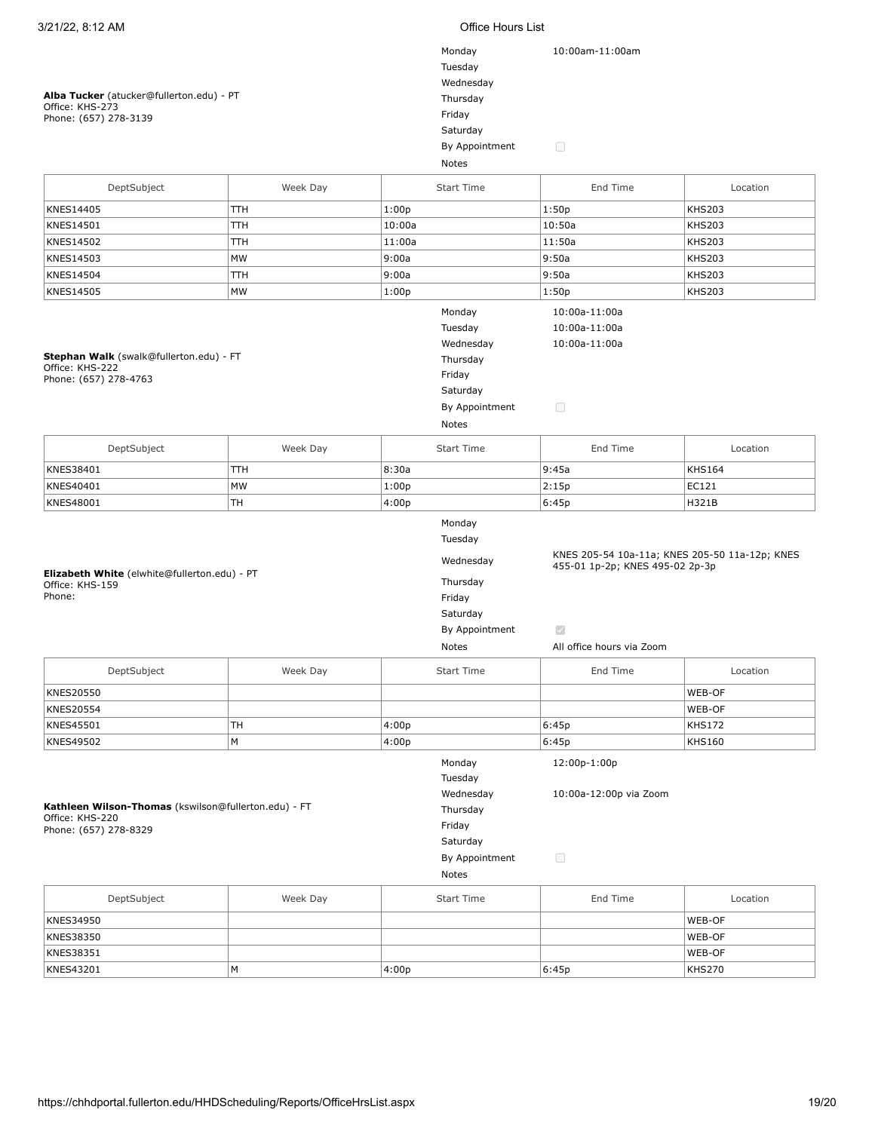### **Alba Tucker** (atucker@fullerton.edu) - PT Office: KHS-273 Phone: (657) 278-3139

| Monday         | 10:00am-11:00am |
|----------------|-----------------|
| Tuesday        |                 |
| Wednesday      |                 |
| Thursday       |                 |
| Friday         |                 |
| Saturday       |                 |
| By Appointment |                 |
| Notes          |                 |

| DeptSubject<br>Week Day<br><b>Start Time</b><br>End Time<br>Location<br>KNES14405<br>1:00p<br>1:50p<br><b>KHS203</b><br>TTH<br>KNES14501<br>TTH<br>10:00a<br>10:50a<br><b>KHS203</b><br>11:50a<br>KNES14502<br><b>TTH</b><br>11:00a<br><b>KHS203</b><br>KNES14503<br>MW<br>9:00a<br>9:50a<br><b>KHS203</b><br>TTН<br>9:00a<br>9:50a<br><b>KHS203</b><br><b>KNES14504</b><br>KNES14505<br>MW<br>1:00p<br>1:50p<br><b>KHS203</b><br>Monday<br>10:00a-11:00a<br>Tuesday<br>10:00a-11:00a<br>Wednesday<br>10:00a-11:00a<br>Stephan Walk (swalk@fullerton.edu) - FT<br>Thursday<br>Office: KHS-222<br>Friday<br>Phone: (657) 278-4763<br>Saturday<br>$\Box$<br>By Appointment<br>Notes<br>DeptSubject<br>Week Day<br><b>Start Time</b><br>End Time<br>Location<br>9:45a<br>KNES38401<br>8:30a<br><b>KHS164</b><br><b>TTH</b><br>MW<br>KNES40401<br>1:00p<br>2:15p<br>EC121<br>TH<br>KNES48001<br>4:00p<br>6:45p<br>H321B<br>Monday<br>Tuesday<br>KNES 205-54 10a-11a; KNES 205-50 11a-12p; KNES<br>Wednesday<br>455-01 1p-2p; KNES 495-02 2p-3p<br>Elizabeth White (elwhite@fullerton.edu) - PT<br>Thursday<br>Office: KHS-159<br>Phone:<br>Friday<br>Saturday<br>$\overline{\mathcal{S}}$<br>By Appointment<br>All office hours via Zoom<br>Notes<br>DeptSubject<br>Week Day<br><b>Start Time</b><br>End Time<br>Location<br>WEB-OF<br><b>KNES20550</b><br>WEB-OF<br><b>KNES20554</b><br>KNES45501<br>4:00p<br>6:45p<br><b>KHS172</b><br>TH<br>M<br>4:00p<br>KNES49502<br>6:45p<br><b>KHS160</b><br>12:00p-1:00p<br>Monday<br>Tuesday<br>Wednesday<br>10:00a-12:00p via Zoom<br>Kathleen Wilson-Thomas (kswilson@fullerton.edu) - FT<br>Thursday<br>Office: KHS-220<br>Friday<br>Phone: (657) 278-8329<br>Saturday<br>$\Box$<br>By Appointment<br>Notes<br>DeptSubject<br>Week Day<br><b>Start Time</b><br>End Time<br>Location |  |  |  |  |  |
|-----------------------------------------------------------------------------------------------------------------------------------------------------------------------------------------------------------------------------------------------------------------------------------------------------------------------------------------------------------------------------------------------------------------------------------------------------------------------------------------------------------------------------------------------------------------------------------------------------------------------------------------------------------------------------------------------------------------------------------------------------------------------------------------------------------------------------------------------------------------------------------------------------------------------------------------------------------------------------------------------------------------------------------------------------------------------------------------------------------------------------------------------------------------------------------------------------------------------------------------------------------------------------------------------------------------------------------------------------------------------------------------------------------------------------------------------------------------------------------------------------------------------------------------------------------------------------------------------------------------------------------------------------------------------------------------------------------------------------------------------------------------------------------------------------------------------------|--|--|--|--|--|
|                                                                                                                                                                                                                                                                                                                                                                                                                                                                                                                                                                                                                                                                                                                                                                                                                                                                                                                                                                                                                                                                                                                                                                                                                                                                                                                                                                                                                                                                                                                                                                                                                                                                                                                                                                                                                             |  |  |  |  |  |
|                                                                                                                                                                                                                                                                                                                                                                                                                                                                                                                                                                                                                                                                                                                                                                                                                                                                                                                                                                                                                                                                                                                                                                                                                                                                                                                                                                                                                                                                                                                                                                                                                                                                                                                                                                                                                             |  |  |  |  |  |
|                                                                                                                                                                                                                                                                                                                                                                                                                                                                                                                                                                                                                                                                                                                                                                                                                                                                                                                                                                                                                                                                                                                                                                                                                                                                                                                                                                                                                                                                                                                                                                                                                                                                                                                                                                                                                             |  |  |  |  |  |
|                                                                                                                                                                                                                                                                                                                                                                                                                                                                                                                                                                                                                                                                                                                                                                                                                                                                                                                                                                                                                                                                                                                                                                                                                                                                                                                                                                                                                                                                                                                                                                                                                                                                                                                                                                                                                             |  |  |  |  |  |
|                                                                                                                                                                                                                                                                                                                                                                                                                                                                                                                                                                                                                                                                                                                                                                                                                                                                                                                                                                                                                                                                                                                                                                                                                                                                                                                                                                                                                                                                                                                                                                                                                                                                                                                                                                                                                             |  |  |  |  |  |
|                                                                                                                                                                                                                                                                                                                                                                                                                                                                                                                                                                                                                                                                                                                                                                                                                                                                                                                                                                                                                                                                                                                                                                                                                                                                                                                                                                                                                                                                                                                                                                                                                                                                                                                                                                                                                             |  |  |  |  |  |
|                                                                                                                                                                                                                                                                                                                                                                                                                                                                                                                                                                                                                                                                                                                                                                                                                                                                                                                                                                                                                                                                                                                                                                                                                                                                                                                                                                                                                                                                                                                                                                                                                                                                                                                                                                                                                             |  |  |  |  |  |
|                                                                                                                                                                                                                                                                                                                                                                                                                                                                                                                                                                                                                                                                                                                                                                                                                                                                                                                                                                                                                                                                                                                                                                                                                                                                                                                                                                                                                                                                                                                                                                                                                                                                                                                                                                                                                             |  |  |  |  |  |
|                                                                                                                                                                                                                                                                                                                                                                                                                                                                                                                                                                                                                                                                                                                                                                                                                                                                                                                                                                                                                                                                                                                                                                                                                                                                                                                                                                                                                                                                                                                                                                                                                                                                                                                                                                                                                             |  |  |  |  |  |
|                                                                                                                                                                                                                                                                                                                                                                                                                                                                                                                                                                                                                                                                                                                                                                                                                                                                                                                                                                                                                                                                                                                                                                                                                                                                                                                                                                                                                                                                                                                                                                                                                                                                                                                                                                                                                             |  |  |  |  |  |
|                                                                                                                                                                                                                                                                                                                                                                                                                                                                                                                                                                                                                                                                                                                                                                                                                                                                                                                                                                                                                                                                                                                                                                                                                                                                                                                                                                                                                                                                                                                                                                                                                                                                                                                                                                                                                             |  |  |  |  |  |
|                                                                                                                                                                                                                                                                                                                                                                                                                                                                                                                                                                                                                                                                                                                                                                                                                                                                                                                                                                                                                                                                                                                                                                                                                                                                                                                                                                                                                                                                                                                                                                                                                                                                                                                                                                                                                             |  |  |  |  |  |
|                                                                                                                                                                                                                                                                                                                                                                                                                                                                                                                                                                                                                                                                                                                                                                                                                                                                                                                                                                                                                                                                                                                                                                                                                                                                                                                                                                                                                                                                                                                                                                                                                                                                                                                                                                                                                             |  |  |  |  |  |
|                                                                                                                                                                                                                                                                                                                                                                                                                                                                                                                                                                                                                                                                                                                                                                                                                                                                                                                                                                                                                                                                                                                                                                                                                                                                                                                                                                                                                                                                                                                                                                                                                                                                                                                                                                                                                             |  |  |  |  |  |
|                                                                                                                                                                                                                                                                                                                                                                                                                                                                                                                                                                                                                                                                                                                                                                                                                                                                                                                                                                                                                                                                                                                                                                                                                                                                                                                                                                                                                                                                                                                                                                                                                                                                                                                                                                                                                             |  |  |  |  |  |
|                                                                                                                                                                                                                                                                                                                                                                                                                                                                                                                                                                                                                                                                                                                                                                                                                                                                                                                                                                                                                                                                                                                                                                                                                                                                                                                                                                                                                                                                                                                                                                                                                                                                                                                                                                                                                             |  |  |  |  |  |
|                                                                                                                                                                                                                                                                                                                                                                                                                                                                                                                                                                                                                                                                                                                                                                                                                                                                                                                                                                                                                                                                                                                                                                                                                                                                                                                                                                                                                                                                                                                                                                                                                                                                                                                                                                                                                             |  |  |  |  |  |
|                                                                                                                                                                                                                                                                                                                                                                                                                                                                                                                                                                                                                                                                                                                                                                                                                                                                                                                                                                                                                                                                                                                                                                                                                                                                                                                                                                                                                                                                                                                                                                                                                                                                                                                                                                                                                             |  |  |  |  |  |
|                                                                                                                                                                                                                                                                                                                                                                                                                                                                                                                                                                                                                                                                                                                                                                                                                                                                                                                                                                                                                                                                                                                                                                                                                                                                                                                                                                                                                                                                                                                                                                                                                                                                                                                                                                                                                             |  |  |  |  |  |
|                                                                                                                                                                                                                                                                                                                                                                                                                                                                                                                                                                                                                                                                                                                                                                                                                                                                                                                                                                                                                                                                                                                                                                                                                                                                                                                                                                                                                                                                                                                                                                                                                                                                                                                                                                                                                             |  |  |  |  |  |

| DeptSubject | Week Day | <b>Start Time</b> | End Time | Location |
|-------------|----------|-------------------|----------|----------|
| KNES34950   |          |                   |          | WEB-OF   |
| KNES38350   |          |                   |          | WEB-OF   |
| KNES38351   |          |                   |          | WEB-OF   |
| KNES43201   | IМ       | 4:00p             | 6:45p    | KHS270   |